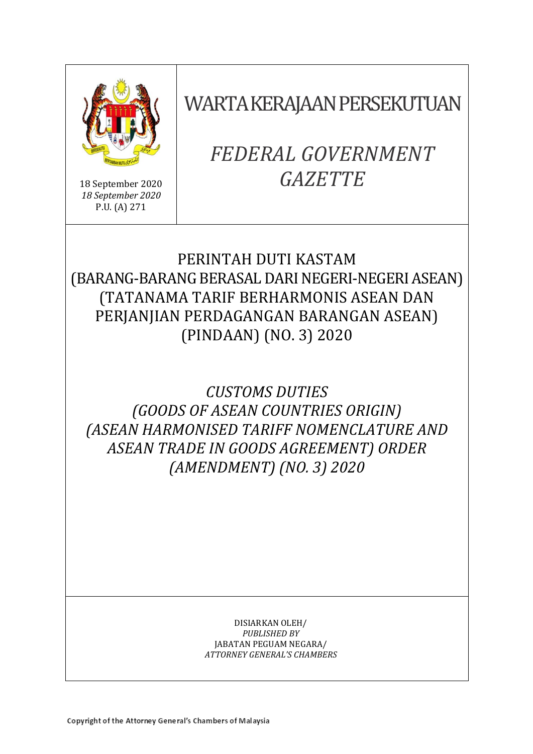

18 September 2020 *18 September 2020* P.U. (A) 271

WARTA KERAJAAN PERSEKUTUAN

# *FEDERAL GOVERNMENT GAZETTE*

# PERINTAH DUTI KASTAM (BARANG-BARANG BERASAL DARI NEGERI-NEGERI ASEAN) (TATANAMA TARIF BERHARMONIS ASEAN DAN PERJANJIAN PERDAGANGAN BARANGAN ASEAN) (PINDAAN) (NO. 3) 2020

*CUSTOMS DUTIES (GOODS OF ASEAN COUNTRIES ORIGIN) (ASEAN HARMONISED TARIFF NOMENCLATURE AND ASEAN TRADE IN GOODS AGREEMENT) ORDER (AMENDMENT) (NO. 3) 2020*

> DISIARKAN OLEH/ *PUBLISHED BY* JABATAN PEGUAM NEGARA/ *ATTORNEY GENERAL'S CHAMBERS*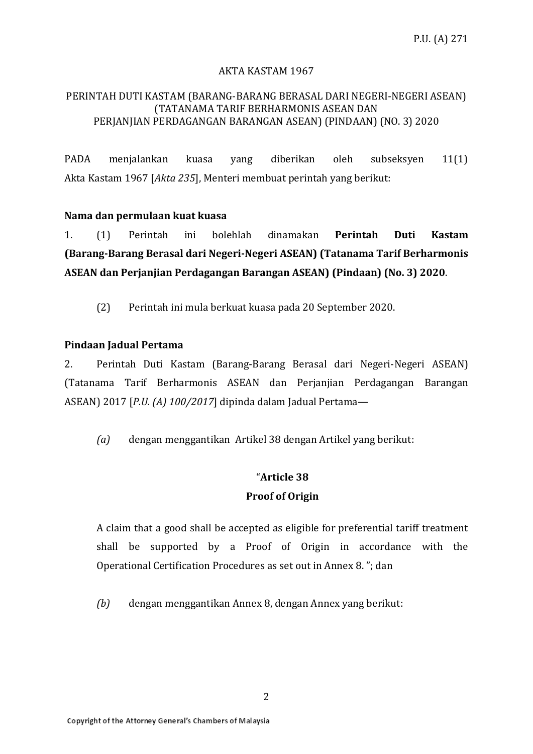### AKTA KASTAM 1967

#### PERINTAH DUTI KASTAM (BARANG-BARANG BERASAL DARI NEGERI-NEGERI ASEAN) (TATANAMA TARIF BERHARMONIS ASEAN DAN PERJANJIAN PERDAGANGAN BARANGAN ASEAN) (PINDAAN) (NO. 3) 2020

PADA menjalankan kuasa yang diberikan oleh subseksyen 11(1) Akta Kastam 1967 [*Akta 235*], Menteri membuat perintah yang berikut:

#### **Nama dan permulaan kuat kuasa**

1. (1) Perintah ini bolehlah dinamakan **Perintah Duti Kastam (Barang-Barang Berasal dari Negeri-Negeri ASEAN) (Tatanama Tarif Berharmonis ASEAN dan Perjanjian Perdagangan Barangan ASEAN) (Pindaan) (No. 3) 2020**.

(2) Perintah ini mula berkuat kuasa pada 20 September 2020.

#### **Pindaan Jadual Pertama**

2. Perintah Duti Kastam (Barang-Barang Berasal dari Negeri-Negeri ASEAN) (Tatanama Tarif Berharmonis ASEAN dan Perjanjian Perdagangan Barangan ASEAN) 2017 [*P.U. (A) 100/2017*] dipinda dalam Jadual Pertama—

*(a)* dengan menggantikan Artikel 38 dengan Artikel yang berikut:

### "**Article 38 Proof of Origin**

A claim that a good shall be accepted as eligible for preferential tariff treatment shall be supported by a Proof of Origin in accordance with the Operational Certification Procedures as set out in Annex 8. "; dan

*(b)* dengan menggantikan Annex 8, dengan Annex yang berikut: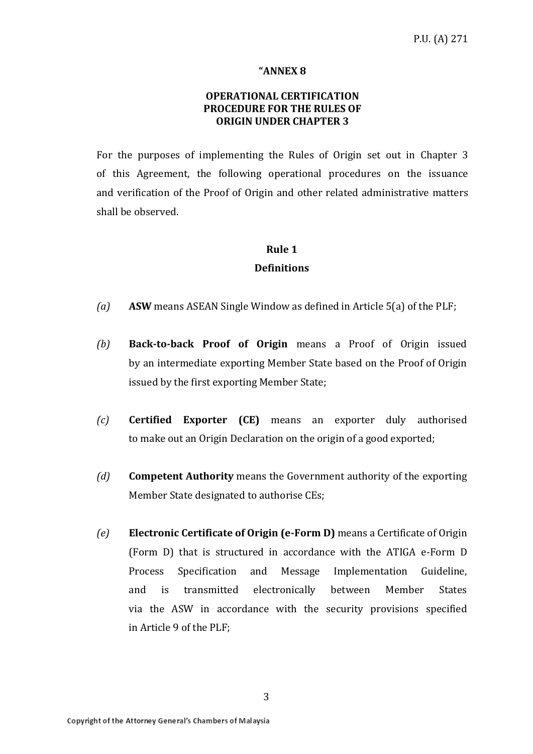#### **"ANNEX 8**

### **OPERATIONAL CERTIFICATION PROCEDURE FOR THE RULES OF ORIGIN UNDER CHAPTER 3**

For the purposes of implementing the Rules of Origin set out in Chapter 3 of this Agreement, the following operational procedures on the issuance and verification of the Proof of Origin and other related administrative matters shall be observed.

### **Rule 1 Definitions**

- *(a)* **ASW** means ASEAN Single Window as defined in Article 5(a) of the PLF;
- *(b)* **Back-to-back Proof of Origin** means a Proof of Origin issued by an intermediate exporting Member State based on the Proof of Origin issued by the first exporting Member State;
- *(c)* **Certified Exporter (CE)** means an exporter duly authorised to make out an Origin Declaration on the origin of a good exported;
- *(d)* **Competent Authority** means the Government authority of the exporting Member State designated to authorise CEs;
- *(e)* **Electronic Certificate of Origin (e-Form D)** means a Certificate of Origin (Form D) that is structured in accordance with the ATIGA e-Form D Process Specification and Message Implementation Guideline, and is transmitted electronically between Member States via the ASW in accordance with the security provisions specified in Article 9 of the PLF;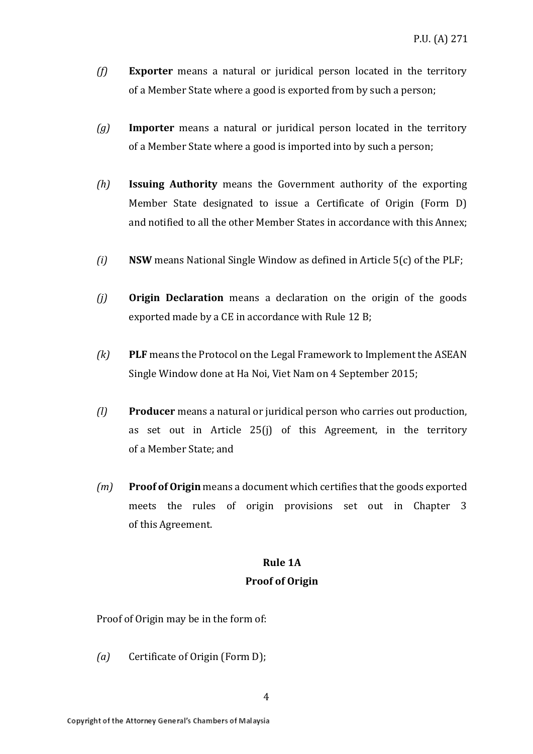- *(f)* **Exporter** means a natural or juridical person located in the territory of a Member State where a good is exported from by such a person;
- *(g)* **Importer** means a natural or juridical person located in the territory of a Member State where a good is imported into by such a person;
- *(h)* **Issuing Authority** means the Government authority of the exporting Member State designated to issue a Certificate of Origin (Form D) and notified to all the other Member States in accordance with this Annex;
- *(i)* **NSW** means National Single Window as defined in Article 5(c) of the PLF;
- *(j)* **Origin Declaration** means a declaration on the origin of the goods exported made by a CE in accordance with Rule 12 B;
- *(k)* **PLF** means the Protocol on the Legal Framework to Implement the ASEAN Single Window done at Ha Noi, Viet Nam on 4 September 2015;
- *(l)* **Producer** means a natural or juridical person who carries out production, as set out in Article 25(j) of this Agreement, in the territory of a Member State; and
- *(m)* **Proof of Origin** means a document which certifies that the goods exported meets the rules of origin provisions set out in Chapter 3 of this Agreement.

### **Rule 1A**

#### **Proof of Origin**

Proof of Origin may be in the form of:

*(a)* Certificate of Origin (Form D);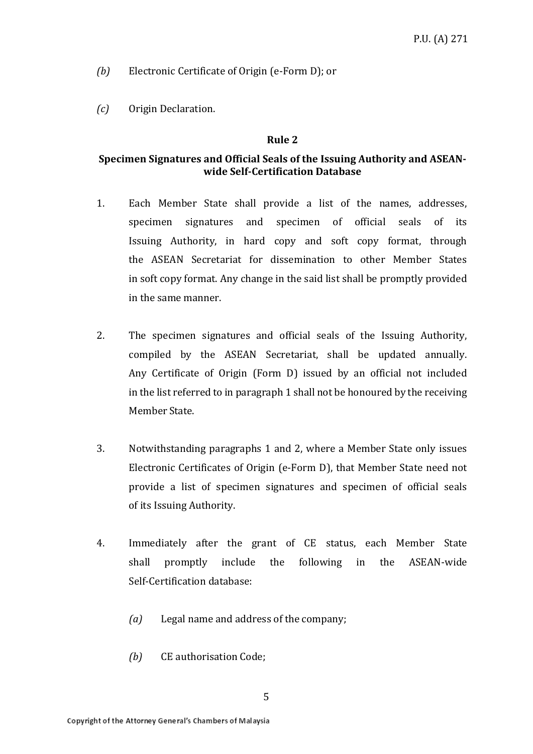*(b)* Electronic Certificate of Origin (e-Form D); or

*(c)* Origin Declaration.

#### **Rule 2**

### **Specimen Signatures and Official Seals of the Issuing Authority and ASEANwide Self-Certification Database**

- 1. Each Member State shall provide a list of the names, addresses, specimen signatures and specimen of official seals of its Issuing Authority, in hard copy and soft copy format, through the ASEAN Secretariat for dissemination to other Member States in soft copy format. Any change in the said list shall be promptly provided in the same manner.
- 2. The specimen signatures and official seals of the Issuing Authority, compiled by the ASEAN Secretariat, shall be updated annually. Any Certificate of Origin (Form D) issued by an official not included in the list referred to in paragraph 1 shall not be honoured by the receiving MemberState.
- 3. Notwithstanding paragraphs 1 and 2, where a Member State only issues Electronic Certificates of Origin (e-Form D), that Member State need not provide a list of specimen signatures and specimen of official seals of its Issuing Authority.
- 4. Immediately after the grant of CE status, each Member State shall promptly include the following in the ASEAN-wide Self-Certification database:
	- *(a)* Legal name and address of the company;
	- *(b)* CE authorisation Code;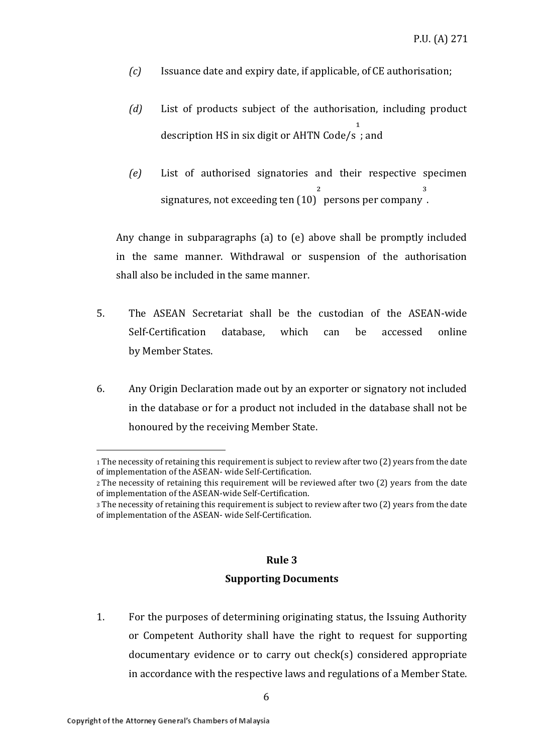- *(c)* Issuance date and expiry date, if applicable, of CE authorisation;
- *(d)* List of products subject of the authorisation, including product description HS in six digit or AHTN Code/s  $\mathbf{1}$ ; and
- *(e)* List of authorised signatories and their respective specimen signatures, not exceeding ten (10)  $\overline{\mathbf{a}}$ persons per company ³ .

Any change in subparagraphs (a) to (e) above shall be promptly included in the same manner. Withdrawal or suspension of the authorisation shall also be included in the same manner.

- 5. The ASEAN Secretariat shall be the custodian of the ASEAN-wide Self-Certification database, which can be accessed online by Member States.
- 6. Any Origin Declaration made out by an exporter or signatory not included in the database or for a product not included in the database shall not be honoured by the receiving Member State.

#### **Rule 3**

#### **Supporting Documents**

1. For the purposes of determining originating status, the Issuing Authority or Competent Authority shall have the right to request for supporting documentary evidence or to carry out check(s) considered appropriate in accordance with the respective laws and regulations of a Member State.

<sup>1</sup> The necessity of retaining this requirement is subject to review after two (2) years from the date of implementation of the ASEAN- wide Self-Certification.

<sup>2</sup>The necessity of retaining this requirement will be reviewed after two (2) years from the date of implementation of the ASEAN-wide Self-Certification.

<sup>3</sup> The necessity of retaining this requirement is subject to review after two (2) years from the date of implementation of the ASEAN- wide Self-Certification.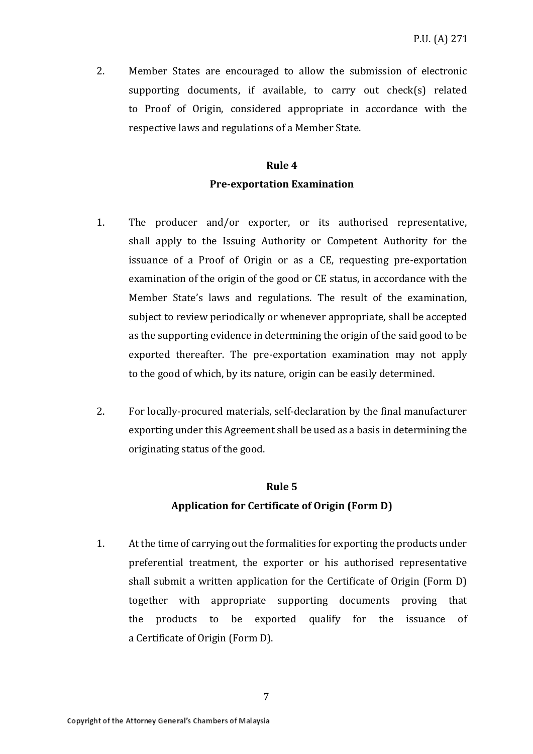2. Member States are encouraged to allow the submission of electronic supporting documents, if available, to carry out check(s) related to Proof of Origin, considered appropriate in accordance with the respective laws and regulations of a Member State.

### **Rule 4 Pre-exportation Examination**

- 1. The producer and/or exporter, or its authorised representative, shall apply to the Issuing Authority or Competent Authority for the issuance of a Proof of Origin or as a CE, requesting pre-exportation examination of the origin of the good or CE status, in accordance with the Member State's laws and regulations. The result of the examination, subject to review periodically or whenever appropriate, shall be accepted as the supporting evidence in determining the origin of the said good to be exported thereafter. The pre-exportation examination may not apply to the good of which, by its nature, origin can be easily determined.
- 2. For locally-procured materials, self-declaration by the final manufacturer exporting under this Agreement shall be used as a basis in determining the originating status of the good.

# **Rule 5 Application for Certificate of Origin (Form D)**

1. At the time of carrying out the formalities for exporting the products under preferential treatment, the exporter or his authorised representative shall submit a written application for the Certificate of Origin (Form D) together with appropriate supporting documents proving that the products to be exported qualify for the issuance of a Certificate of Origin (Form D).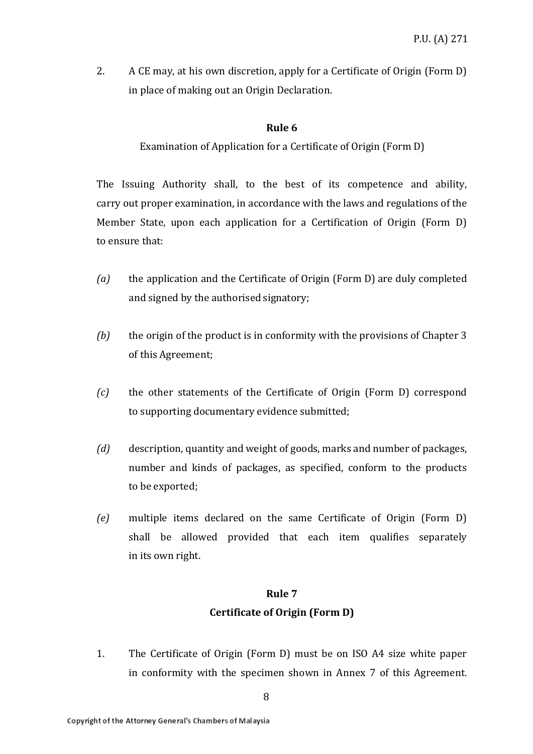2. A CE may, at his own discretion, apply for a Certificate of Origin (Form D) in place of making out an Origin Declaration.

### **Rule 6**

Examination of Application for a Certificate of Origin (Form D)

The Issuing Authority shall, to the best of its competence and ability, carry out proper examination, in accordance with the laws and regulations of the Member State, upon each application for a Certification of Origin (Form D) to ensure that:

- *(a)* the application and the Certificate of Origin (Form D) are duly completed and signed by the authorised signatory;
- *(b)* the origin of the product is in conformity with the provisions of Chapter 3 of this Agreement;
- *(c)* the other statements of the Certificate of Origin (Form D) correspond to supporting documentary evidence submitted;
- *(d)* description, quantity and weight of goods, marks and number of packages, number and kinds of packages, as specified, conform to the products to be exported;
- *(e)* multiple items declared on the same Certificate of Origin (Form D) shall be allowed provided that each item qualifies separately in its own right.

#### **Rule 7**

### **Certificate of Origin (Form D)**

1. The Certificate of Origin (Form D) must be on ISO A4 size white paper in conformity with the specimen shown in Annex 7 of this Agreement.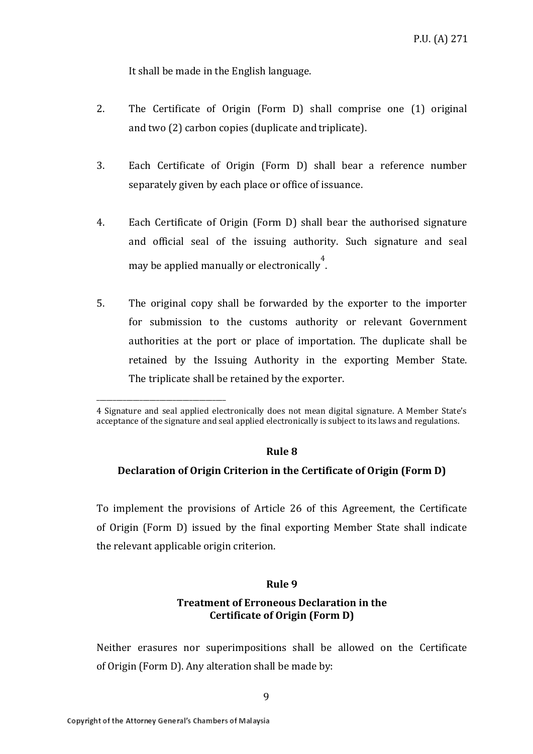It shall be made in the English language.

- 2. The Certificate of Origin (Form D) shall comprise one (1) original and two (2) carbon copies (duplicate and triplicate).
- 3. Each Certificate of Origin (Form D) shall bear a reference number separately given by each place or office of issuance.
- 4. Each Certificate of Origin (Form D) shall bear the authorised signature and official seal of the issuing authority. Such signature and seal may be applied manually or electronically 4 .
- 5. The original copy shall be forwarded by the exporter to the importer for submission to the customs authority or relevant Government authorities at the port or place of importation. The duplicate shall be retained by the Issuing Authority in the exporting Member State. The triplicate shall be retained by the exporter.

#### **Rule 8**

#### **Declaration of Origin Criterion in the Certificate of Origin (Form D)**

To implement the provisions of Article 26 of this Agreement, the Certificate of Origin (Form D) issued by the final exporting Member State shall indicate the relevant applicable origin criterion.

#### **Rule 9**

### **Treatment of Erroneous Declaration in the Certificate of Origin (Form D)**

Neither erasures nor superimpositions shall be allowed on the Certificate of Origin (Form D). Any alteration shall be made by:

\_\_\_\_\_\_\_\_\_\_\_\_\_\_\_\_\_\_\_\_\_\_\_\_\_\_\_\_\_\_\_\_\_\_\_\_\_\_\_

<sup>4</sup> Signature and seal applied electronically does not mean digital signature. A Member State's acceptance of the signature and seal applied electronically is subject to its laws and regulations.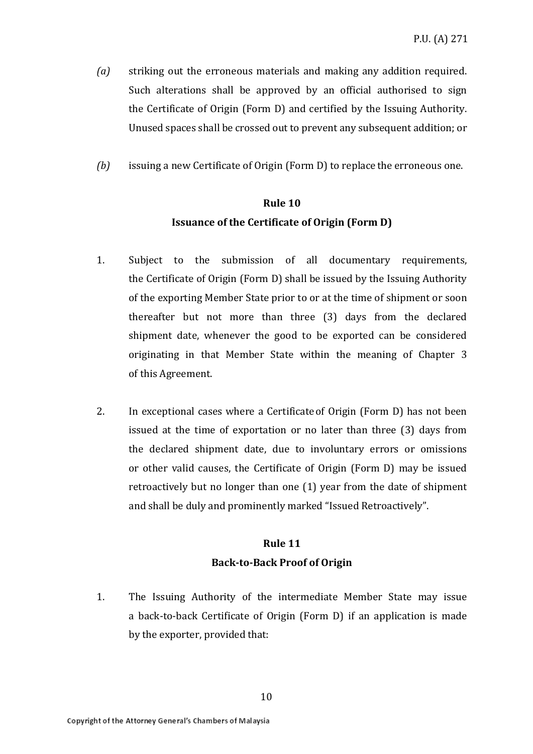- *(a)* striking out the erroneous materials and making any addition required. Such alterations shall be approved by an official authorised to sign the Certificate of Origin (Form D) and certified by the Issuing Authority. Unused spaces shall be crossed out to prevent any subsequent addition; or
- *(b)* issuing a new Certificate of Origin (Form D) to replace the erroneous one.

### **Rule 10 Issuance of the Certificate of Origin (Form D)**

- 1. Subject to the submission of all documentary requirements, the Certificate of Origin (Form D) shall be issued by the Issuing Authority of the exporting Member State prior to or at the time of shipment or soon thereafter but not more than three (3) days from the declared shipment date, whenever the good to be exported can be considered originating in that Member State within the meaning of Chapter 3 of this Agreement.
- 2. In exceptional cases where a Certificateof Origin (Form D) has not been issued at the time of exportation or no later than three (3) days from the declared shipment date, due to involuntary errors or omissions or other valid causes, the Certificate of Origin (Form D) may be issued retroactively but no longer than one (1) year from the date of shipment and shall be duly and prominently marked "Issued Retroactively".

### **Rule 11 Back-to-Back Proof of Origin**

1. The Issuing Authority of the intermediate Member State may issue a back-to-back Certificate of Origin (Form D) if an application is made by the exporter, provided that: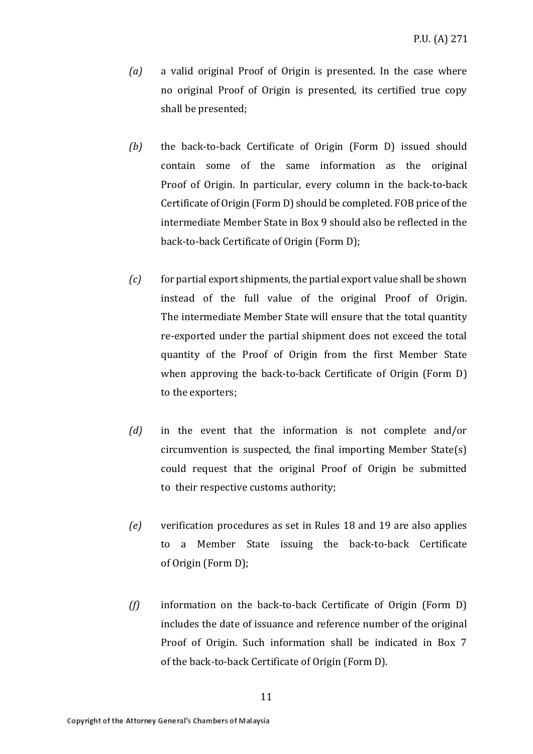- *(a)* a valid original Proof of Origin is presented. In the case where no original Proof of Origin is presented, its certified true copy shall be presented;
- *(b)* the back-to-back Certificate of Origin (Form D) issued should contain some of the same information as the original Proof of Origin. In particular, every column in the back-to-back Certificate of Origin (Form D) should be completed. FOB price of the intermediate Member State in Box 9 should also be reflected in the back-to-back Certificate of Origin (Form D);
- *(c)* for partial export shipments, the partial export value shall be shown instead of the full value of the original Proof of Origin. The intermediate Member State will ensure that the total quantity re-exported under the partial shipment does not exceed the total quantity of the Proof of Origin from the first Member State when approving the back-to-back Certificate of Origin (Form D) to the exporters;
- *(d)* in the event that the information is not complete and/or circumvention is suspected, the final importing Member State(s) could request that the original Proof of Origin be submitted to their respective customs authority;
- *(e)* verification procedures as set in Rules 18 and 19 are also applies to a Member State issuing the back-to-back Certificate of Origin (Form D);
- *(f)* information on the back-to-back Certificate of Origin (Form D) includes the date of issuance and reference number of the original Proof of Origin. Such information shall be indicated in Box 7 of the back-to-back Certificate of Origin (Form D).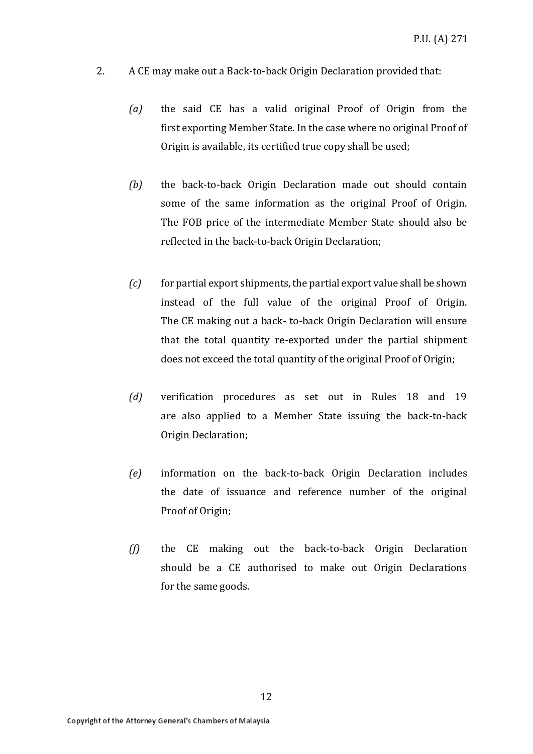- 2. A CE may make out a Back-to-back Origin Declaration provided that:
	- *(a)* the said CE has a valid original Proof of Origin from the first exporting Member State. In the case where no original Proof of Origin is available, its certified true copy shall be used;
	- *(b)* the back-to-back Origin Declaration made out should contain some of the same information as the original Proof of Origin. The FOB price of the intermediate Member State should also be reflected in the back-to-back Origin Declaration;
	- *(c)* for partial export shipments, the partial export value shall be shown instead of the full value of the original Proof of Origin. The CE making out a back- to-back Origin Declaration will ensure that the total quantity re-exported under the partial shipment does not exceed the total quantity of the original Proof of Origin;
	- *(d)* verification procedures as set out in Rules 18 and 19 are also applied to a Member State issuing the back-to-back Origin Declaration;
	- *(e)* information on the back-to-back Origin Declaration includes the date of issuance and reference number of the original Proof of Origin;
	- *(f)* the CE making out the back-to-back Origin Declaration should be a CE authorised to make out Origin Declarations for the same goods.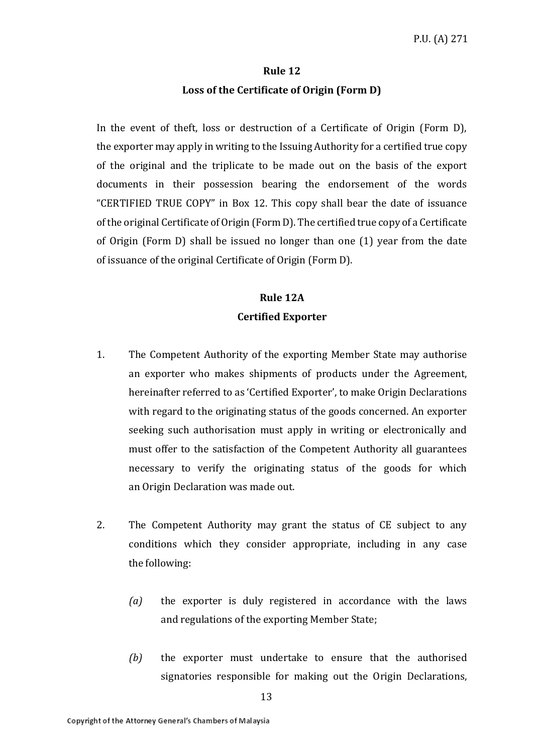### **Rule 12 Loss of the Certificate of Origin (Form D)**

In the event of theft, loss or destruction of a Certificate of Origin (Form D), the exporter may apply in writing to the Issuing Authority for a certified true copy of the original and the triplicate to be made out on the basis of the export documents in their possession bearing the endorsement of the words "CERTIFIED TRUE COPY" in Box 12. This copy shall bear the date of issuance of the original Certificate of Origin (Form D). The certified true copy of a Certificate of Origin (Form D) shall be issued no longer than one (1) year from the date of issuance of the original Certificate of Origin (Form D).

### **Rule 12A Certified Exporter**

- 1. The Competent Authority of the exporting Member State may authorise an exporter who makes shipments of products under the Agreement, hereinafter referred to as 'Certified Exporter', to make Origin Declarations with regard to the originating status of the goods concerned. An exporter seeking such authorisation must apply in writing or electronically and must offer to the satisfaction of the Competent Authority all guarantees necessary to verify the originating status of the goods for which an Origin Declaration was made out.
- 2. The Competent Authority may grant the status of CE subject to any conditions which they consider appropriate, including in any case the following:
	- *(a)* the exporter is duly registered in accordance with the laws and regulations of the exporting Member State;
	- *(b)* the exporter must undertake to ensure that the authorised signatories responsible for making out the Origin Declarations,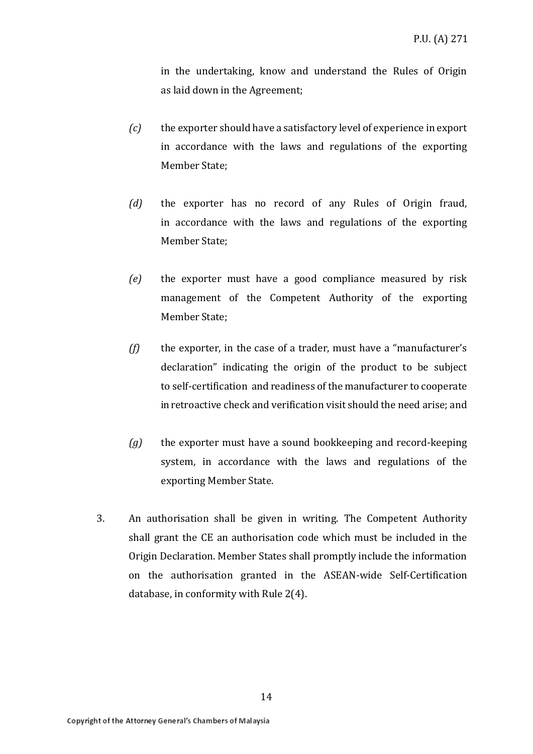in the undertaking, know and understand the Rules of Origin as laid down in the Agreement;

- *(c)* the exporter should have a satisfactory level of experience in export in accordance with the laws and regulations of the exporting Member State;
- *(d)* the exporter has no record of any Rules of Origin fraud, in accordance with the laws and regulations of the exporting Member State;
- *(e)* the exporter must have a good compliance measured by risk management of the Competent Authority of the exporting Member State;
- *(f)* the exporter, in the case of a trader, must have a "manufacturer's declaration" indicating the origin of the product to be subject to self-certification and readiness of the manufacturer to cooperate in retroactive check and verification visit should the need arise; and
- *(g)* the exporter must have a sound bookkeeping and record-keeping system, in accordance with the laws and regulations of the exporting Member State.
- 3. An authorisation shall be given in writing. The Competent Authority shall grant the CE an authorisation code which must be included in the Origin Declaration. Member States shall promptly include the information on the authorisation granted in the ASEAN-wide Self-Certification database, in conformity with Rule 2(4).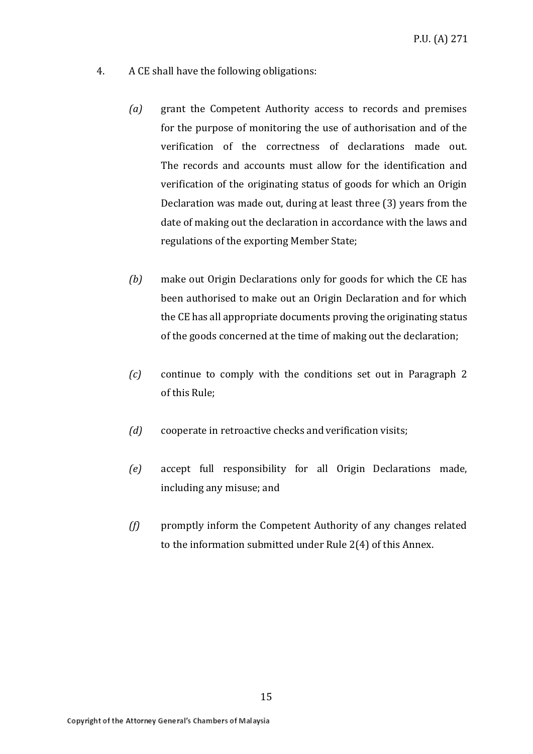- 4. A CE shall have the following obligations:
	- *(a)* grant the Competent Authority access to records and premises for the purpose of monitoring the use of authorisation and of the verification of the correctness of declarations made out. The records and accounts must allow for the identification and verification of the originating status of goods for which an Origin Declaration was made out, during at least three (3) years from the date of making out the declaration in accordance with the laws and regulations of the exporting Member State;
	- *(b)* make out Origin Declarations only for goods for which the CE has been authorised to make out an Origin Declaration and for which the CE has all appropriate documents proving the originating status of the goods concerned at the time of making out the declaration;
	- *(c)* continue to comply with the conditions set out in Paragraph 2 of this Rule;
	- *(d)* cooperate in retroactive checks and verification visits;
	- *(e)* accept full responsibility for all Origin Declarations made, including any misuse; and
	- *(f)* promptly inform the Competent Authority of any changes related to the information submitted under Rule 2(4) of this Annex.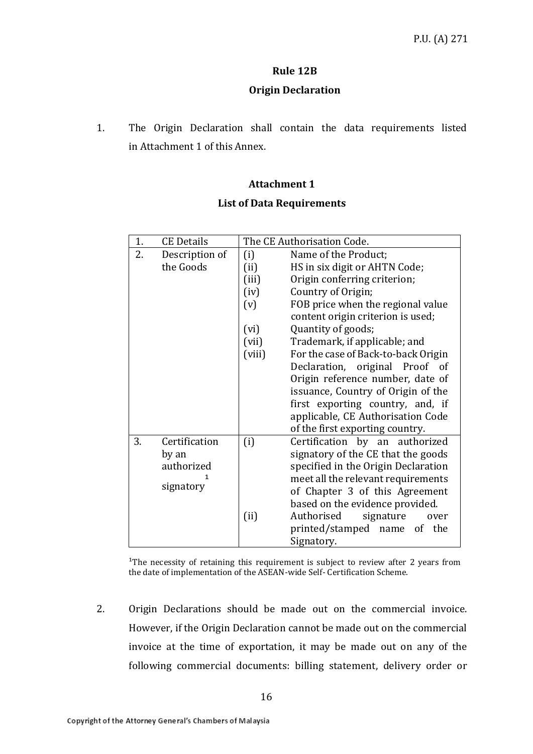### **Rule 12B**

### **Origin Declaration**

1. The Origin Declaration shall contain the data requirements listed in Attachment 1 of this Annex.

### **Attachment 1**

### **List of Data Requirements**

| 1. | <b>CE Details</b> | The CE Authorisation Code. |                                     |
|----|-------------------|----------------------------|-------------------------------------|
| 2. | Description of    | (i)                        | Name of the Product;                |
|    | the Goods         | (ii)                       | HS in six digit or AHTN Code;       |
|    |                   | (iii)                      | Origin conferring criterion;        |
|    |                   | (iv)                       | Country of Origin;                  |
|    |                   | (v)                        | FOB price when the regional value   |
|    |                   |                            | content origin criterion is used;   |
|    |                   | (vi)                       | Quantity of goods;                  |
|    |                   | (vii)                      | Trademark, if applicable; and       |
|    |                   | (viii)                     | For the case of Back-to-back Origin |
|    |                   |                            | Declaration, original Proof of      |
|    |                   |                            | Origin reference number, date of    |
|    |                   |                            | issuance, Country of Origin of the  |
|    |                   |                            | first exporting country, and, if    |
|    |                   |                            | applicable, CE Authorisation Code   |
|    |                   |                            | of the first exporting country.     |
| 3. | Certification     | (i)                        | Certification by an authorized      |
|    | by an             |                            | signatory of the CE that the goods  |
|    | authorized        |                            | specified in the Origin Declaration |
|    |                   |                            | meet all the relevant requirements  |
|    | signatory         |                            | of Chapter 3 of this Agreement      |
|    |                   |                            | based on the evidence provided.     |
|    |                   | (ii)                       | Authorised<br>signature<br>over     |
|    |                   |                            | printed/stamped name<br>of the      |
|    |                   |                            | Signatory.                          |

<sup>1</sup>The necessity of retaining this requirement is subject to review after 2 years from the date of implementation of the ASEAN-wide Self- Certification Scheme.

2. Origin Declarations should be made out on the commercial invoice. However, if the Origin Declaration cannot be made out on the commercial invoice at the time of exportation, it may be made out on any of the following commercial documents: billing statement, delivery order or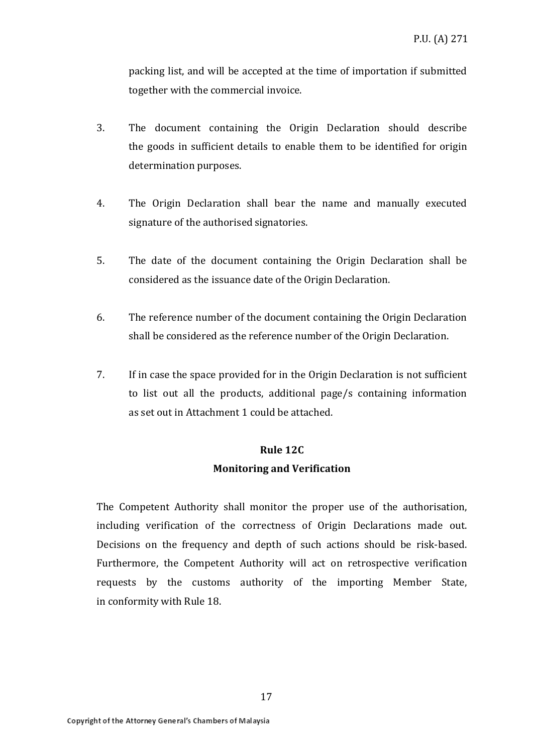packing list, and will be accepted at the time of importation if submitted together with the commercial invoice.

- 3. The document containing the Origin Declaration should describe the goods in sufficient details to enable them to be identified for origin determination purposes.
- 4. The Origin Declaration shall bear the name and manually executed signature of the authorised signatories.
- 5. The date of the document containing the Origin Declaration shall be considered as the issuance date of the Origin Declaration.
- 6. The reference number of the document containing the Origin Declaration shall be considered as the reference number of the Origin Declaration.
- 7. If in case the space provided for in the Origin Declaration is not sufficient to list out all the products, additional page/s containing information as set out in Attachment 1 could be attached.

# **Rule 12C Monitoring and Verification**

The Competent Authority shall monitor the proper use of the authorisation, including verification of the correctness of Origin Declarations made out. Decisions on the frequency and depth of such actions should be risk-based. Furthermore, the Competent Authority will act on retrospective verification requests by the customs authority of the importing Member State, in conformity with Rule 18.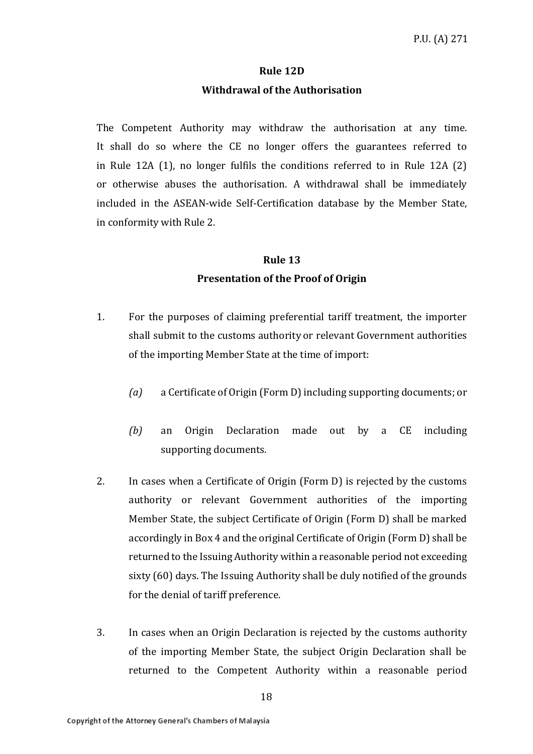### **Rule 12D**

#### **Withdrawal of the Authorisation**

The Competent Authority may withdraw the authorisation at any time. It shall do so where the CE no longer offers the guarantees referred to in Rule 12A (1), no longer fulfils the conditions referred to in Rule 12A (2) or otherwise abuses the authorisation. A withdrawal shall be immediately included in the ASEAN-wide Self-Certification database by the Member State, in conformity with Rule 2.

# **Rule 13 Presentation of the Proof of Origin**

- 1. For the purposes of claiming preferential tariff treatment, the importer shall submit to the customs authority or relevant Government authorities of the importing Member State at the time of import:
	- *(a)* a Certificate of Origin (Form D) including supporting documents; or
	- *(b)* an Origin Declaration made out by a CE including supporting documents.
- 2. In cases when a Certificate of Origin (Form D) is rejected by the customs authority or relevant Government authorities of the importing Member State, the subject Certificate of Origin (Form D) shall be marked accordingly in Box 4 and the original Certificate of Origin (Form D) shall be returned to the Issuing Authority within a reasonable period not exceeding sixty (60) days. The Issuing Authority shall be duly notified of the grounds for the denial of tariff preference.
- 3. In cases when an Origin Declaration is rejected by the customs authority of the importing Member State, the subject Origin Declaration shall be returned to the Competent Authority within a reasonable period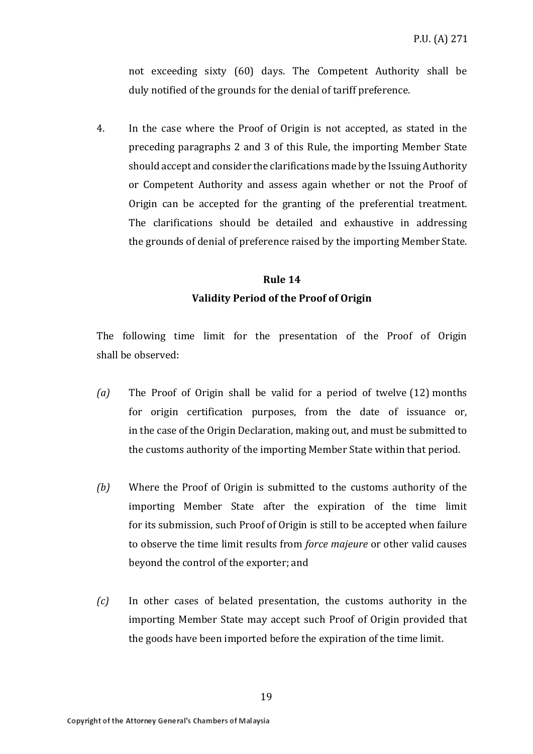not exceeding sixty (60) days. The Competent Authority shall be duly notified of the grounds for the denial of tariff preference.

4. In the case where the Proof of Origin is not accepted, as stated in the preceding paragraphs 2 and 3 of this Rule, the importing Member State should accept and consider the clarifications made by the Issuing Authority or Competent Authority and assess again whether or not the Proof of Origin can be accepted for the granting of the preferential treatment. The clarifications should be detailed and exhaustive in addressing the grounds of denial of preference raised by the importing Member State.

### **Rule 14 Validity Period of the Proof of Origin**

The following time limit for the presentation of the Proof of Origin shall be observed:

- *(a)* The Proof of Origin shall be valid for a period of twelve (12) months for origin certification purposes, from the date of issuance or, in the case of the Origin Declaration, making out, and must be submitted to the customs authority of the importing Member State within that period.
- *(b)* Where the Proof of Origin is submitted to the customs authority of the importing Member State after the expiration of the time limit for its submission, such Proof of Origin is still to be accepted when failure to observe the time limit results from *force majeure* or other valid causes beyond the control of the exporter; and
- *(c)* In other cases of belated presentation, the customs authority in the importing Member State may accept such Proof of Origin provided that the goods have been imported before the expiration of the time limit.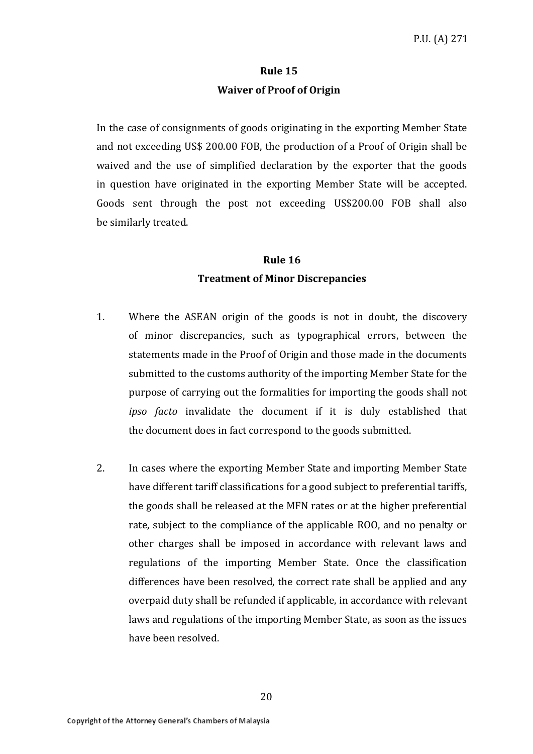### **Rule 15 Waiver of Proof of Origin**

In the case of consignments of goods originating in the exporting Member State and not exceeding US\$ 200.00 FOB, the production of a Proof of Origin shall be waived and the use of simplified declaration by the exporter that the goods in question have originated in the exporting Member State will be accepted. Goods sent through the post not exceeding US\$200.00 FOB shall also be similarly treated.

# **Rule 16 Treatment of Minor Discrepancies**

- 1. Where the ASEAN origin of the goods is not in doubt, the discovery of minor discrepancies, such as typographical errors, between the statements made in the Proof of Origin and those made in the documents submitted to the customs authority of the importing Member State for the purpose of carrying out the formalities for importing the goods shall not *ipso facto* invalidate the document if it is duly established that the document does in fact correspond to the goods submitted.
- 2. In cases where the exporting Member State and importing Member State have different tariff classifications for a good subject to preferential tariffs, the goods shall be released at the MFN rates or at the higher preferential rate, subject to the compliance of the applicable ROO, and no penalty or other charges shall be imposed in accordance with relevant laws and regulations of the importing Member State. Once the classification differences have been resolved, the correct rate shall be applied and any overpaid duty shall be refunded if applicable, in accordance with relevant laws and regulations of the importing Member State, as soon as the issues have been resolved.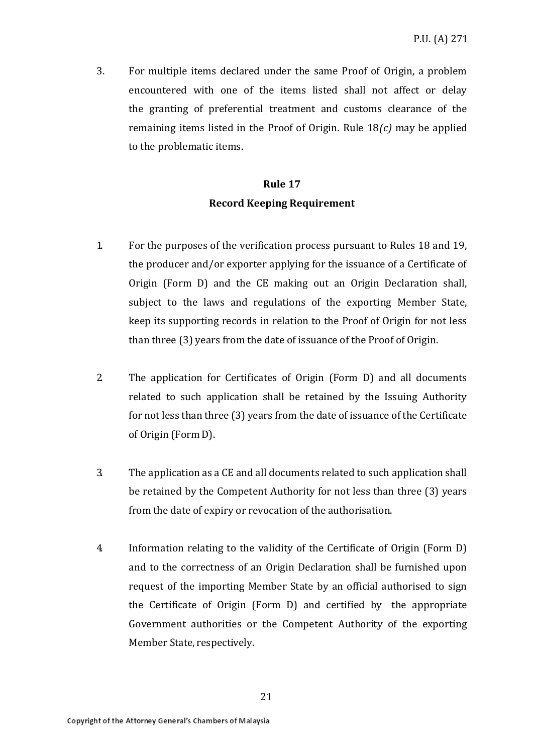3. For multiple items declared under the same Proof of Origin, a problem encountered with one of the items listed shall not affect or delay the granting of preferential treatment and customs clearance of the remaining items listed in the Proof of Origin. Rule 18*(c)* may be applied to the problematic items.

# **Rule 17 Record Keeping Requirement**

- 1. For the purposes of the verification process pursuant to Rules 18 and 19, the producer and/or exporter applying for the issuance of a Certificate of Origin (Form D) and the CE making out an Origin Declaration shall, subject to the laws and regulations of the exporting Member State, keep its supporting records in relation to the Proof of Origin for not less than three (3) years from the date of issuance of the Proof of Origin.
- 2. The application for Certificates of Origin (Form D) and all documents related to such application shall be retained by the Issuing Authority for not less than three (3) years from the date of issuance of the Certificate of Origin (Form D).
- 3. The application as a CE and all documents related to such application shall be retained by the Competent Authority for not less than three (3) years from the date of expiry or revocation of the authorisation.
- 4. Information relating to the validity of the Certificate of Origin (Form D) and to the correctness of an Origin Declaration shall be furnished upon request of the importing Member State by an official authorised to sign the Certificate of Origin (Form D) and certified by the appropriate Government authorities or the Competent Authority of the exporting Member State, respectively.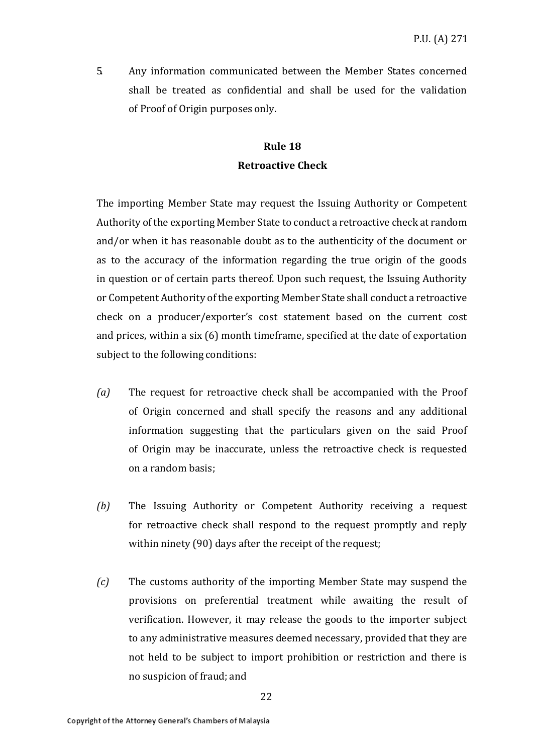5. Any information communicated between the Member States concerned shall be treated as confidential and shall be used for the validation of Proof of Origin purposes only.

### **Rule 18 Retroactive Check**

The importing Member State may request the Issuing Authority or Competent Authority of the exporting Member State to conduct a retroactive check at random and/or when it has reasonable doubt as to the authenticity of the document or as to the accuracy of the information regarding the true origin of the goods in question or of certain parts thereof. Upon such request, the Issuing Authority or Competent Authority of the exporting Member State shall conduct a retroactive check on a producer/exporter's cost statement based on the current cost and prices, within a six (6) month timeframe, specified at the date of exportation subject to the following conditions:

- *(a)* The request for retroactive check shall be accompanied with the Proof of Origin concerned and shall specify the reasons and any additional information suggesting that the particulars given on the said Proof of Origin may be inaccurate, unless the retroactive check is requested on a random basis;
- *(b)* The Issuing Authority or Competent Authority receiving a request for retroactive check shall respond to the request promptly and reply within ninety (90) days after the receipt of the request;
- *(c)* The customs authority of the importing Member State may suspend the provisions on preferential treatment while awaiting the result of verification. However, it may release the goods to the importer subject to any administrative measures deemed necessary, provided that they are not held to be subject to import prohibition or restriction and there is no suspicion of fraud; and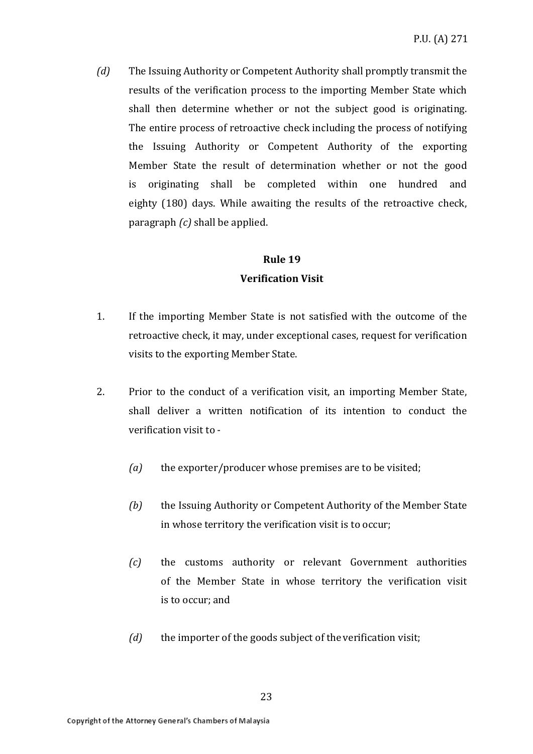*(d)* The Issuing Authority or Competent Authority shall promptly transmit the results of the verification process to the importing Member State which shall then determine whether or not the subject good is originating. The entire process of retroactive check including the process of notifying the Issuing Authority or Competent Authority of the exporting Member State the result of determination whether or not the good is originating shall be completed within one hundred and eighty (180) days. While awaiting the results of the retroactive check, paragraph *(c)* shall be applied.

### **Rule 19**

### **Verification Visit**

- 1. If the importing Member State is not satisfied with the outcome of the retroactive check, it may, under exceptional cases, request for verification visits to the exporting Member State.
- 2. Prior to the conduct of a verification visit, an importing Member State, shall deliver a written notification of its intention to conduct the verification visit to -
	- *(a)* the exporter/producer whose premises are to be visited;
	- *(b)* the Issuing Authority or Competent Authority of the Member State in whose territory the verification visit is to occur;
	- *(c)* the customs authority or relevant Government authorities of the Member State in whose territory the verification visit is to occur; and
	- *(d)* the importer of the goods subject of the verification visit;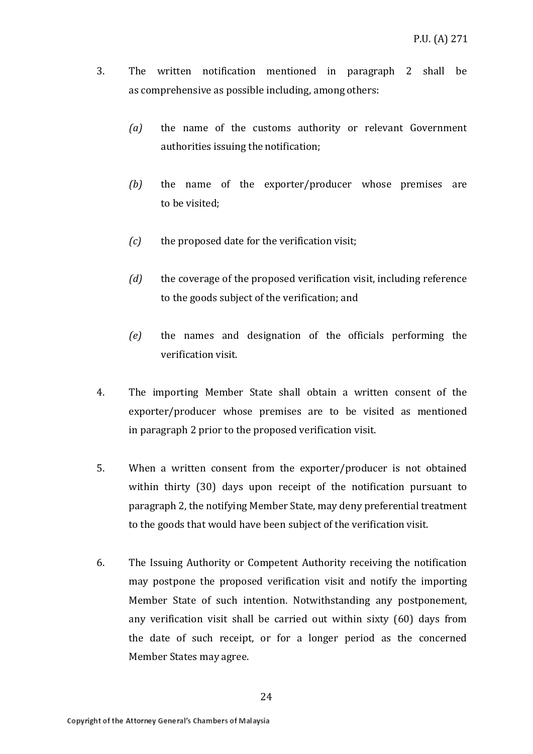- 3. The written notification mentioned in paragraph 2 shall be as comprehensive as possible including, among others:
	- *(a)* the name of the customs authority or relevant Government authorities issuing the notification;
	- *(b)* the name of the exporter/producer whose premises are to be visited;
	- *(c)* the proposed date for the verification visit;
	- *(d)* the coverage of the proposed verification visit, including reference to the goods subject of the verification; and
	- *(e)* the names and designation of the officials performing the verification visit.
- 4. The importing Member State shall obtain a written consent of the exporter/producer whose premises are to be visited as mentioned in paragraph 2 prior to the proposed verification visit.
- 5. When a written consent from the exporter/producer is not obtained within thirty (30) days upon receipt of the notification pursuant to paragraph 2, the notifying Member State, may deny preferential treatment to the goods that would have been subject of the verification visit.
- 6. The Issuing Authority or Competent Authority receiving the notification may postpone the proposed verification visit and notify the importing Member State of such intention. Notwithstanding any postponement, any verification visit shall be carried out within sixty (60) days from the date of such receipt, or for a longer period as the concerned Member States may agree.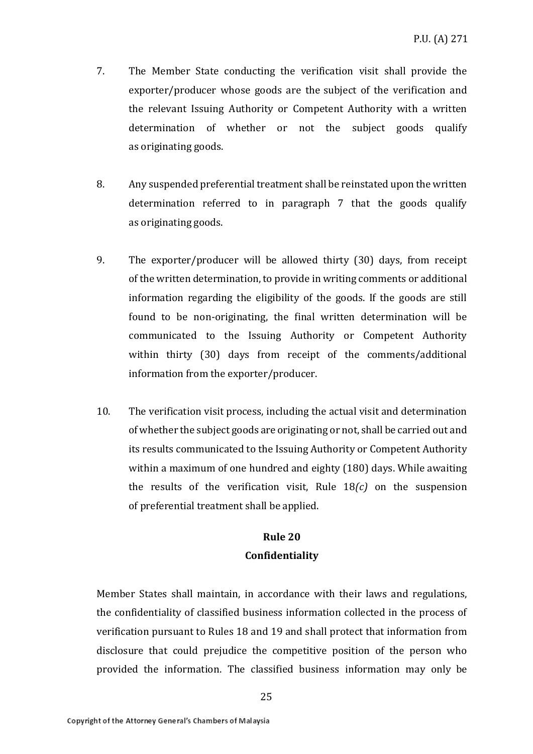- 7. The Member State conducting the verification visit shall provide the exporter/producer whose goods are the subject of the verification and the relevant Issuing Authority or Competent Authority with a written determination of whether or not the subject goods qualify as originating goods.
- 8. Any suspended preferential treatment shall be reinstated upon the written determination referred to in paragraph 7 that the goods qualify as originating goods.
- 9. The exporter/producer will be allowed thirty (30) days, from receipt of the written determination, to provide in writing comments or additional information regarding the eligibility of the goods. If the goods are still found to be non-originating, the final written determination will be communicated to the Issuing Authority or Competent Authority within thirty (30) days from receipt of the comments/additional information from the exporter/producer.
- 10. The verification visit process, including the actual visit and determination of whether the subject goods are originating or not, shall be carried out and its results communicated to the Issuing Authority or Competent Authority within a maximum of one hundred and eighty (180) days. While awaiting the results of the verification visit, Rule 18*(c)* on the suspension of preferential treatment shall be applied.

## **Rule 20 Confidentiality**

Member States shall maintain, in accordance with their laws and regulations, the confidentiality of classified business information collected in the process of verification pursuant to Rules 18 and 19 and shall protect that information from disclosure that could prejudice the competitive position of the person who provided the information. The classified business information may only be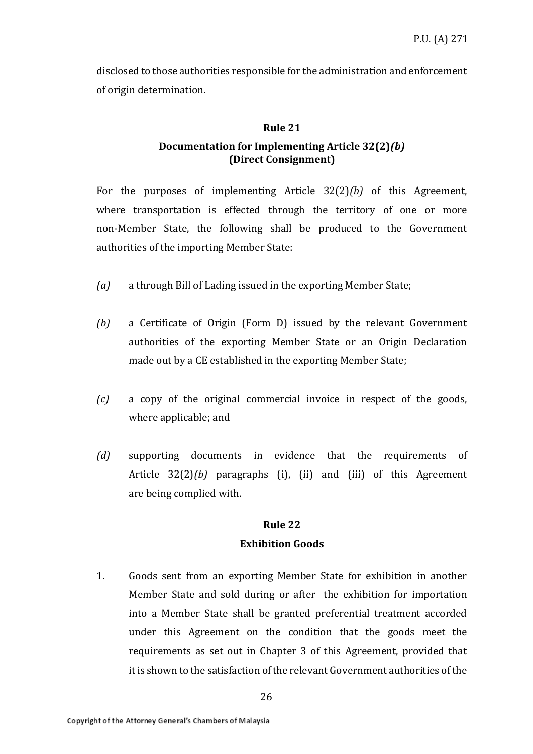disclosed to those authorities responsible for the administration and enforcement of origin determination.

### **Rule 21**

### **Documentation for Implementing Article 32(2)***(b)*  **(Direct Consignment)**

For the purposes of implementing Article 32(2)*(b)* of this Agreement, where transportation is effected through the territory of one or more non-Member State, the following shall be produced to the Government authorities of the importing Member State:

- *(a)* a through Bill of Lading issued in the exporting Member State;
- *(b)* a Certificate of Origin (Form D) issued by the relevant Government authorities of the exporting Member State or an Origin Declaration made out by a CE established in the exporting Member State;
- *(c)* a copy of the original commercial invoice in respect of the goods, where applicable; and
- *(d)* supporting documents in evidence that the requirements of Article 32(2)*(b)* paragraphs (i), (ii) and (iii) of this Agreement are being complied with.

#### **Rule 22**

### **Exhibition Goods**

1. Goods sent from an exporting Member State for exhibition in another Member State and sold during or after the exhibition for importation into a Member State shall be granted preferential treatment accorded under this Agreement on the condition that the goods meet the requirements as set out in Chapter 3 of this Agreement, provided that it is shown to the satisfaction of the relevant Government authorities of the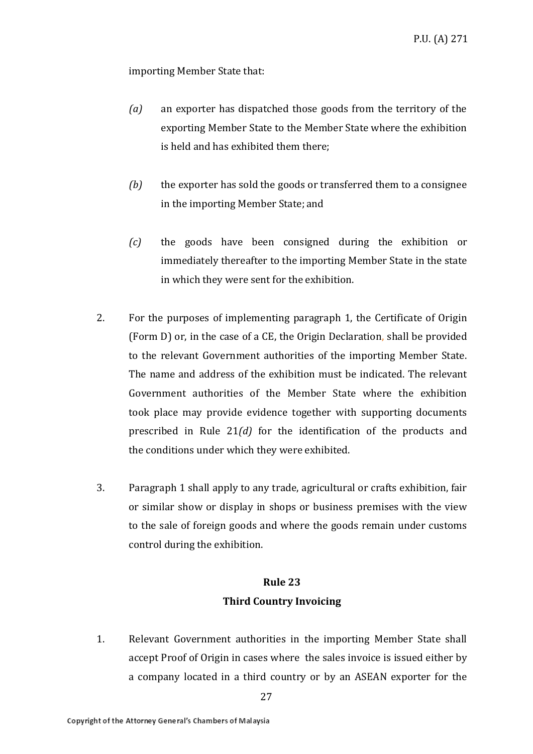importing Member State that:

- *(a)* an exporter has dispatched those goods from the territory of the exporting Member State to the Member State where the exhibition is held and has exhibited them there;
- *(b)* the exporter has sold the goods or transferred them to a consignee in the importing Member State; and
- *(c)* the goods have been consigned during the exhibition or immediately thereafter to the importing Member State in the state in which they were sent for the exhibition.
- 2. For the purposes of implementing paragraph 1, the Certificate of Origin (Form D) or, in the case of a CE, the Origin Declaration, shall be provided to the relevant Government authorities of the importing Member State. The name and address of the exhibition must be indicated. The relevant Government authorities of the Member State where the exhibition took place may provide evidence together with supporting documents prescribed in Rule 21*(d)* for the identification of the products and the conditions under which they were exhibited.
- 3. Paragraph 1 shall apply to any trade, agricultural or crafts exhibition, fair or similar show or display in shops or business premises with the view to the sale of foreign goods and where the goods remain under customs control during the exhibition.

### **Rule 23 Third Country Invoicing**

1. Relevant Government authorities in the importing Member State shall accept Proof of Origin in cases where the sales invoice is issued either by a company located in a third country or by an ASEAN exporter for the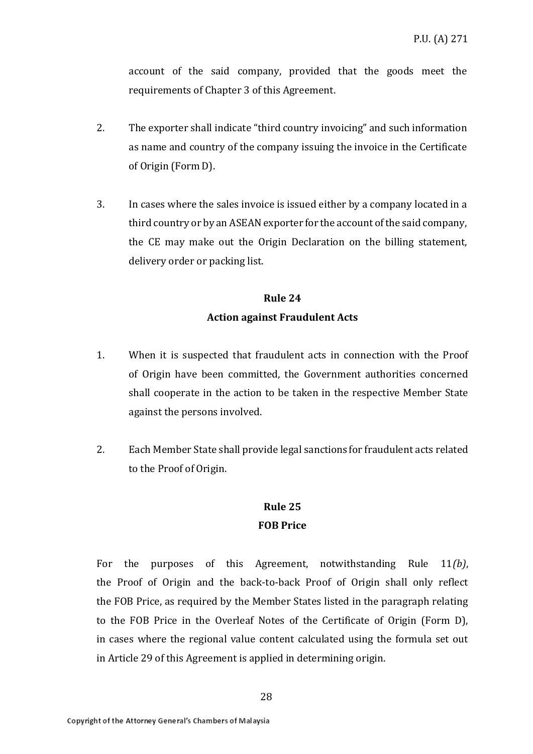account of the said company, provided that the goods meet the requirements of Chapter 3 of this Agreement.

- 2. The exporter shall indicate "third country invoicing" and such information as name and country of the company issuing the invoice in the Certificate of Origin (Form D).
- 3. In cases where the sales invoice is issued either by a company located in a third country or by an ASEAN exporter for the account of the said company, the CE may make out the Origin Declaration on the billing statement, delivery order or packing list.

# **Rule 24 Action against Fraudulent Acts**

- 1. When it is suspected that fraudulent acts in connection with the Proof of Origin have been committed, the Government authorities concerned shall cooperate in the action to be taken in the respective Member State against the persons involved.
- 2. Each Member State shall provide legal sanctions for fraudulent acts related to the Proof of Origin.

# **Rule 25 FOB Price**

For the purposes of this Agreement, notwithstanding Rule 11*(b)*, the Proof of Origin and the back-to-back Proof of Origin shall only reflect the FOB Price, as required by the Member States listed in the paragraph relating to the FOB Price in the Overleaf Notes of the Certificate of Origin (Form D), in cases where the regional value content calculated using the formula set out in Article 29 of this Agreement is applied in determining origin.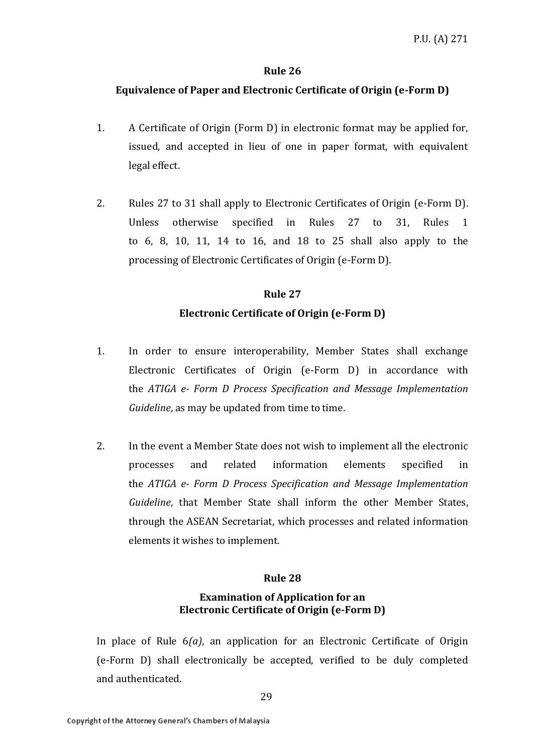#### **Rule 26**

#### **Equivalence of Paper and Electronic Certificate of Origin (e-Form D)**

- 1. A Certificate of Origin (Form D) in electronic format may be applied for, issued, and accepted in lieu of one in paper format, with equivalent legal effect.
- 2. Rules 27 to 31 shall apply to Electronic Certificates of Origin (e-Form D). Unless otherwise specified in Rules 27 to 31, Rules 1 to 6, 8, 10, 11, 14 to 16, and 18 to 25 shall also apply to the processing of Electronic Certificates of Origin (e-Form D).

### **Rule 27 Electronic Certificate of Origin (e-Form D)**

- 1. In order to ensure interoperability, Member States shall exchange Electronic Certificates of Origin (e-Form D) in accordance with the *ATIGA e- Form D Process Specification and Message Implementation Guideline*, as may be updated from time to time.
- 2. In the event a Member State does not wish to implement all the electronic processes and related information elements specified in the *ATIGA e- Form D Process Specification and Message Implementation Guideline*, that Member State shall inform the other Member States, through the ASEAN Secretariat, which processes and related information elements it wishes to implement.

#### **Rule 28**

### **Examination of Application for an Electronic Certificate of Origin (e-Form D)**

In place of Rule 6*(a)*, an application for an Electronic Certificate of Origin (e-Form D) shall electronically be accepted, verified to be duly completed and authenticated.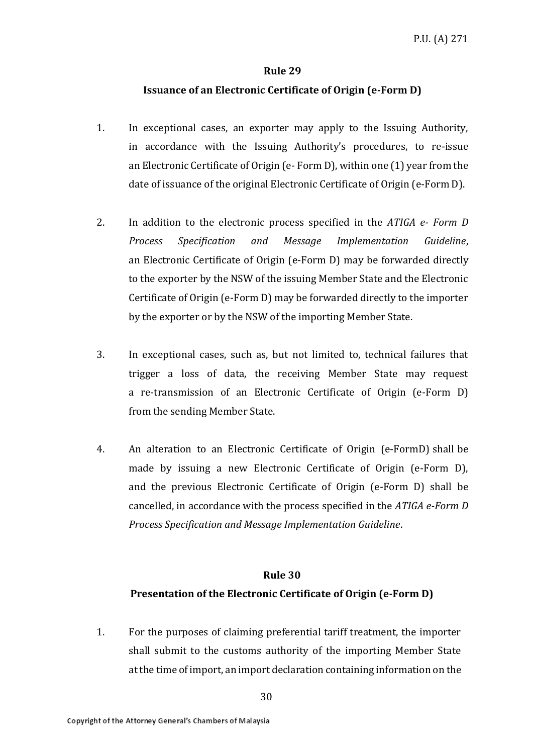#### **Rule 29**

### **Issuance of an Electronic Certificate of Origin (e-Form D)**

- 1. In exceptional cases, an exporter may apply to the Issuing Authority, in accordance with the Issuing Authority's procedures, to re-issue an Electronic Certificate of Origin (e- Form D), within one (1) year from the date of issuance of the original Electronic Certificate of Origin (e-Form D).
- 2. In addition to the electronic process specified in the *ATIGA e- Form D Process Specification and Message Implementation Guideline*, an Electronic Certificate of Origin (e-Form D) may be forwarded directly to the exporter by the NSW of the issuing Member State and the Electronic Certificate of Origin (e-Form D) may be forwarded directly to the importer by the exporter or by the NSW of the importing Member State.
- 3. In exceptional cases, such as, but not limited to, technical failures that trigger a loss of data, the receiving Member State may request a re-transmission of an Electronic Certificate of Origin (e-Form D) from the sending Member State.
- 4. An alteration to an Electronic Certificate of Origin (e-FormD) shall be made by issuing a new Electronic Certificate of Origin (e-Form D), and the previous Electronic Certificate of Origin (e-Form D) shall be cancelled, in accordance with the process specified in the *ATIGA e-Form D Process Specification and Message Implementation Guideline*.

#### **Rule 30**

### **Presentation of the Electronic Certificate of Origin (e-Form D)**

1. For the purposes of claiming preferential tariff treatment, the importer shall submit to the customs authority of the importing Member State at the time of import, an import declaration containing information on the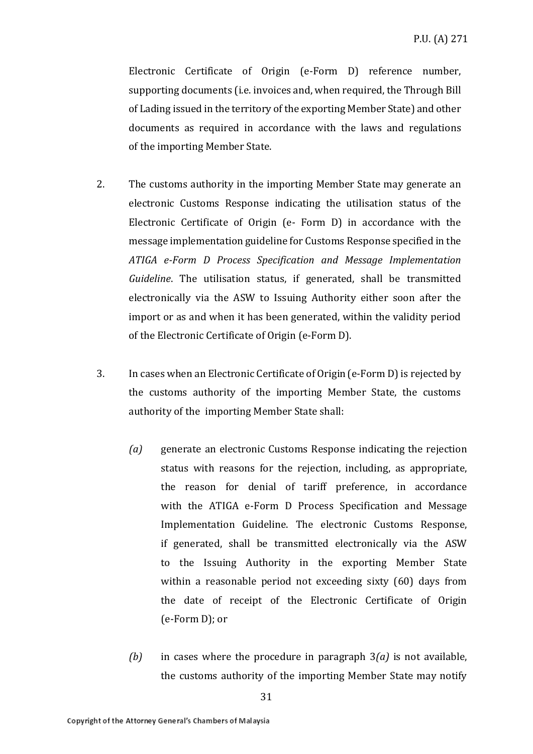Electronic Certificate of Origin (e-Form D) reference number, supporting documents (i.e. invoices and, when required, the Through Bill of Lading issued in the territory of the exporting Member State) and other documents as required in accordance with the laws and regulations of the importing Member State.

- 2. The customs authority in the importing Member State may generate an electronic Customs Response indicating the utilisation status of the Electronic Certificate of Origin (e- Form D) in accordance with the message implementation guideline for Customs Response specified in the *ATIGA e-Form D Process Specification and Message Implementation Guideline*. The utilisation status, if generated, shall be transmitted electronically via the ASW to Issuing Authority either soon after the import or as and when it has been generated, within the validity period of the Electronic Certificate of Origin (e-Form D).
- 3. In cases when an Electronic Certificate of Origin (e-Form D) is rejected by the customs authority of the importing Member State, the customs authority of the importing Member State shall:
	- *(a)* generate an electronic Customs Response indicating the rejection status with reasons for the rejection, including, as appropriate, the reason for denial of tariff preference, in accordance with the ATIGA e-Form D Process Specification and Message Implementation Guideline. The electronic Customs Response, if generated, shall be transmitted electronically via the ASW to the Issuing Authority in the exporting Member State within a reasonable period not exceeding sixty (60) days from the date of receipt of the Electronic Certificate of Origin (e-Form D); or
	- *(b)* in cases where the procedure in paragraph 3*(a)* is not available, the customs authority of the importing Member State may notify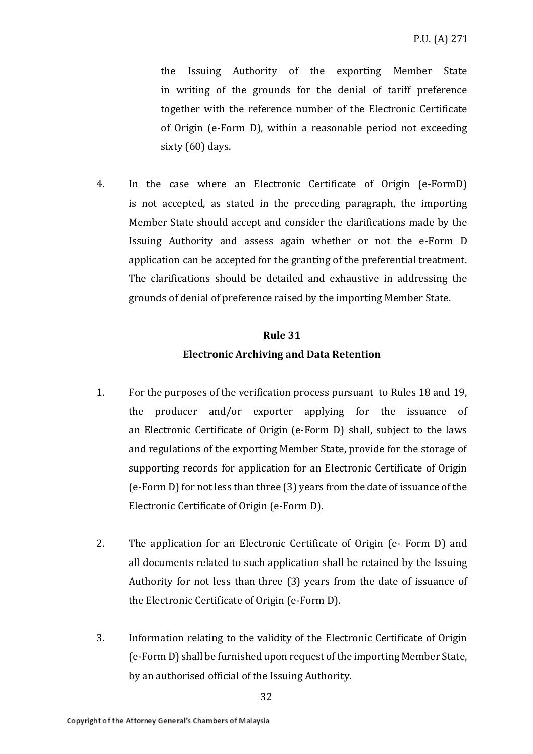the Issuing Authority of the exporting Member State in writing of the grounds for the denial of tariff preference together with the reference number of the Electronic Certificate of Origin (e-Form D), within a reasonable period not exceeding sixty (60) days.

4. In the case where an Electronic Certificate of Origin (e-FormD) is not accepted, as stated in the preceding paragraph, the importing Member State should accept and consider the clarifications made by the Issuing Authority and assess again whether or not the e-Form D application can be accepted for the granting of the preferential treatment. The clarifications should be detailed and exhaustive in addressing the grounds of denial of preference raised by the importing Member State.

# **Rule 31 Electronic Archiving and Data Retention**

- 1. For the purposes of the verification process pursuant to Rules 18 and 19, the producer and/or exporter applying for the issuance of an Electronic Certificate of Origin (e-Form D) shall, subject to the laws and regulations of the exporting Member State, provide for the storage of supporting records for application for an Electronic Certificate of Origin (e-Form D) for not less than three (3) years from the date of issuance of the Electronic Certificate of Origin (e-Form D).
- 2. The application for an Electronic Certificate of Origin (e- Form D) and all documents related to such application shall be retained by the Issuing Authority for not less than three (3) years from the date of issuance of the Electronic Certificate of Origin (e-Form D).
- 3. Information relating to the validity of the Electronic Certificate of Origin (e-Form D) shall be furnished upon request of the importing Member State, by an authorised official of the Issuing Authority.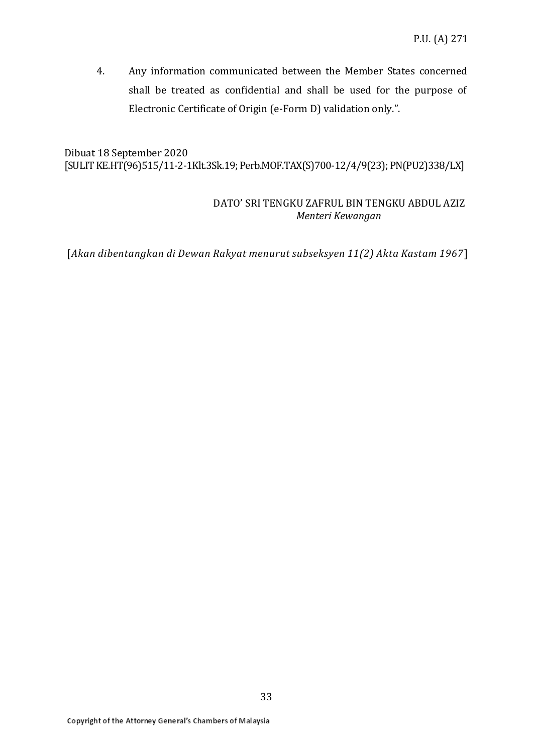4. Any information communicated between the Member States concerned shall be treated as confidential and shall be used for the purpose of Electronic Certificate of Origin (e-Form D) validation only.".

Dibuat 18 September 2020 [SULIT KE.HT(96)515/11-2-1Klt.3Sk.19; Perb.MOF.TAX(S)700-12/4/9(23); PN(PU2)338/LX]

### DATO' SRI TENGKU ZAFRUL BIN TENGKU ABDUL AZIZ  *Menteri Kewangan*

[*Akan dibentangkan di Dewan Rakyat menurut subseksyen 11(2) Akta Kastam 1967*]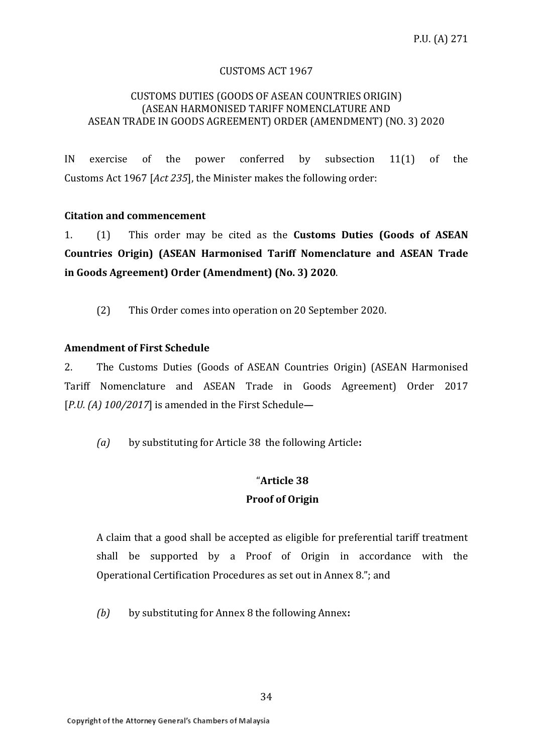#### CUSTOMS ACT 1967

#### CUSTOMS DUTIES (GOODS OF ASEAN COUNTRIES ORIGIN) (ASEAN HARMONISED TARIFF NOMENCLATURE AND ASEAN TRADE IN GOODS AGREEMENT) ORDER (AMENDMENT) (NO. 3) 2020

IN exercise of the power conferred by subsection 11(1) of the Customs Act 1967 [*Act 235*], the Minister makes the following order:

### **Citation and commencement**

1. (1) This order may be cited as the **Customs Duties (Goods of ASEAN Countries Origin) (ASEAN Harmonised Tariff Nomenclature and ASEAN Trade in Goods Agreement) Order (Amendment) (No. 3) 2020**.

(2) This Order comes into operation on 20 September 2020.

### **Amendment of First Schedule**

2. The Customs Duties (Goods of ASEAN Countries Origin) (ASEAN Harmonised Tariff Nomenclature and ASEAN Trade in Goods Agreement) Order 2017 [*P.U. (A) 100/2017*] is amended in the First Schedule**—**

*(a)* by substituting for Article 38 the following Article**:**

### "**Article 38 Proof of Origin**

A claim that a good shall be accepted as eligible for preferential tariff treatment shall be supported by a Proof of Origin in accordance with the Operational Certification Procedures as set out in Annex 8."; and

*(b)* by substituting for Annex 8 the following Annex**:**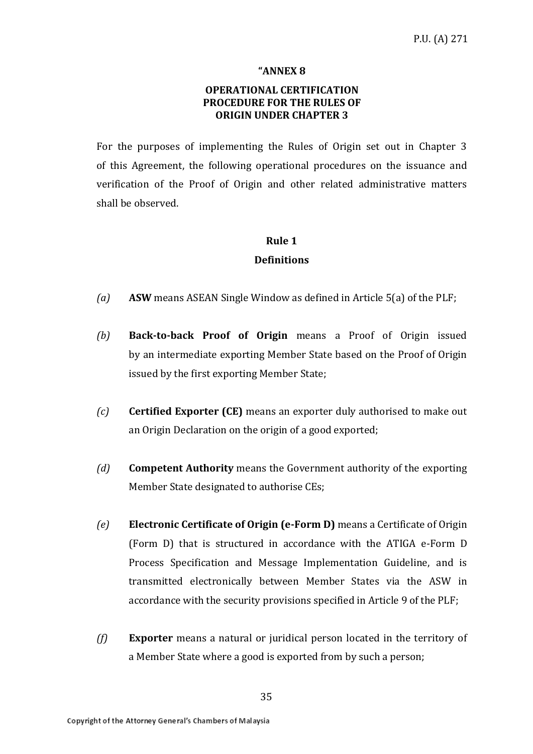#### **"ANNEX 8**

### **OPERATIONAL CERTIFICATION PROCEDURE FOR THE RULES OF ORIGIN UNDER CHAPTER 3**

For the purposes of implementing the Rules of Origin set out in Chapter 3 of this Agreement, the following operational procedures on the issuance and verification of the Proof of Origin and other related administrative matters shall be observed.

### **Rule 1 Definitions**

- *(a)* **ASW** means ASEAN Single Window as defined in Article 5(a) of the PLF;
- *(b)* **Back-to-back Proof of Origin** means a Proof of Origin issued by an intermediate exporting Member State based on the Proof of Origin issued by the first exporting Member State;
- *(c)* **Certified Exporter (CE)** means an exporter duly authorised to make out an Origin Declaration on the origin of a good exported;
- *(d)* **Competent Authority** means the Government authority of the exporting Member State designated to authorise CEs;
- *(e)* **Electronic Certificate of Origin (e-Form D)** means a Certificate of Origin (Form D) that is structured in accordance with the ATIGA e-Form D Process Specification and Message Implementation Guideline, and is transmitted electronically between Member States via the ASW in accordance with the security provisions specified in Article 9 of the PLF;
- *(f)* **Exporter** means a natural or juridical person located in the territory of a Member State where a good is exported from by such a person;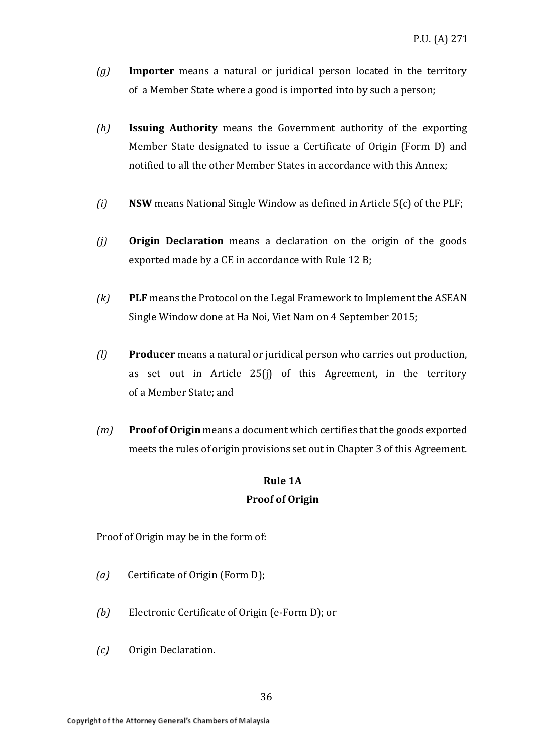- *(g)* **Importer** means a natural or juridical person located in the territory of a Member State where a good is imported into by such a person;
- *(h)* **Issuing Authority** means the Government authority of the exporting Member State designated to issue a Certificate of Origin (Form D) and notified to all the other Member States in accordance with this Annex;
- *(i)* **NSW** means National Single Window as defined in Article 5(c) of the PLF;
- *(j)* **Origin Declaration** means a declaration on the origin of the goods exported made by a CE in accordance with Rule 12 B;
- *(k)* **PLF** means the Protocol on the Legal Framework to Implement the ASEAN Single Window done at Ha Noi, Viet Nam on 4 September 2015;
- *(l)* **Producer** means a natural or juridical person who carries out production, as set out in Article 25(j) of this Agreement, in the territory of a Member State; and
- *(m)* **Proof of Origin** means a document which certifies that the goods exported meets the rules of origin provisions set out in Chapter 3 of this Agreement.

### **Rule 1A Proof of Origin**

Proof of Origin may be in the form of:

- *(a)* Certificate of Origin (Form D);
- *(b)* Electronic Certificate of Origin (e-Form D); or
- *(c)* Origin Declaration.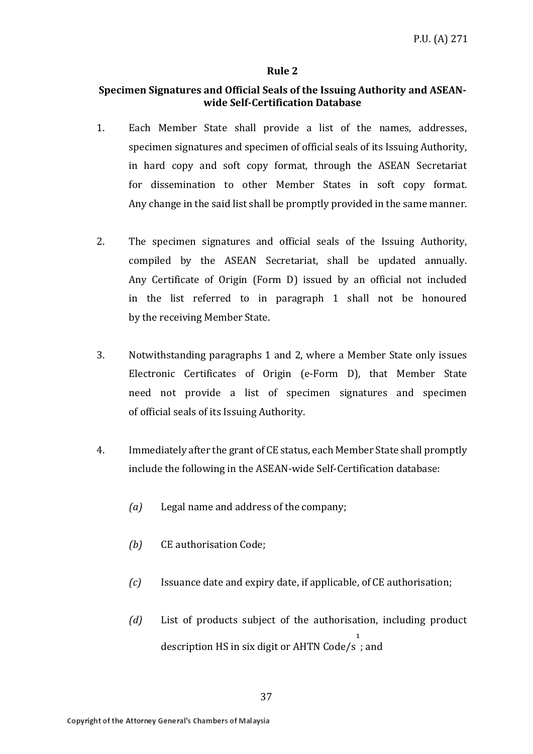#### **Rule 2**

### **Specimen Signatures and Official Seals of the Issuing Authority and ASEANwide Self-Certification Database**

- 1. Each Member State shall provide a list of the names, addresses, specimen signatures and specimen of official seals of its Issuing Authority, in hard copy and soft copy format, through the ASEAN Secretariat for dissemination to other Member States in soft copy format. Any change in the said list shall be promptly provided in the same manner.
- 2. The specimen signatures and official seals of the Issuing Authority, compiled by the ASEAN Secretariat, shall be updated annually. Any Certificate of Origin (Form D) issued by an official not included in the list referred to in paragraph 1 shall not be honoured by the receiving Member State.
- 3. Notwithstanding paragraphs 1 and 2, where a Member State only issues Electronic Certificates of Origin (e-Form D), that Member State need not provide a list of specimen signatures and specimen of official seals of its Issuing Authority.
- 4. Immediately after the grant of CE status, each Member State shall promptly include the following in the ASEAN-wide Self-Certification database:
	- *(a)* Legal name and address of the company;
	- *(b)* CE authorisation Code;
	- *(c)* Issuance date and expiry date, if applicable, of CE authorisation;
	- *(d)* List of products subject of the authorisation, including product description HS in six digit or AHTN Code/s  $\mathbf{1}$ ; and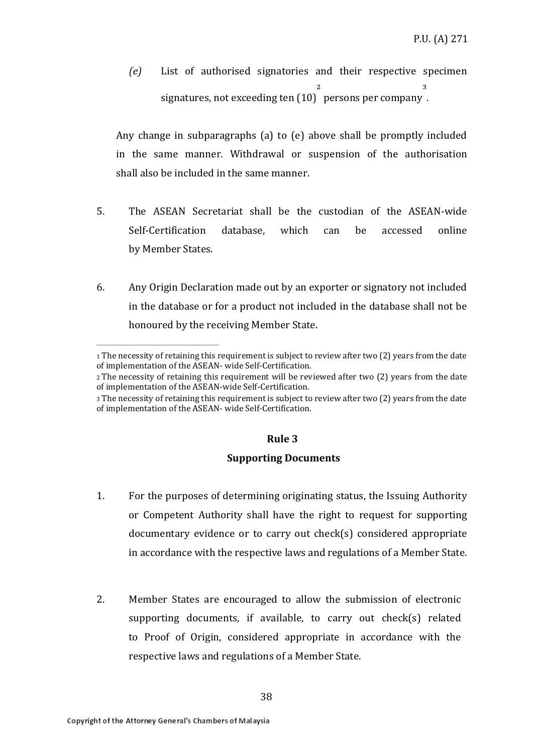*(e)* List of authorised signatories and their respective specimen signatures, not exceeding ten (10)  $\overline{\mathbf{a}}$ persons per company ³ .

Any change in subparagraphs (a) to (e) above shall be promptly included in the same manner. Withdrawal or suspension of the authorisation shall also be included in the same manner.

- 5. The ASEAN Secretariat shall be the custodian of the ASEAN-wide Self-Certification database, which can be accessed online by Member States.
- 6. Any Origin Declaration made out by an exporter or signatory not included in the database or for a product not included in the database shall not be honoured by the receiving Member State.

### **Rule 3**

#### **Supporting Documents**

- 1. For the purposes of determining originating status, the Issuing Authority or Competent Authority shall have the right to request for supporting documentary evidence or to carry out check(s) considered appropriate in accordance with the respective laws and regulations of a Member State.
- 2. Member States are encouraged to allow the submission of electronic supporting documents, if available, to carry out check(s) related to Proof of Origin, considered appropriate in accordance with the respective laws and regulations of a Member State.

**\_\_\_\_\_\_\_\_\_\_\_\_\_\_\_\_\_\_\_\_\_\_\_\_\_\_\_\_\_**

<sup>1</sup> The necessity of retaining this requirement is subject to review after two (2) years from the date of implementation of the ASEAN- wide Self-Certification.

<sup>2</sup> The necessity of retaining this requirement will be reviewed after two (2) years from the date of implementation of the ASEAN-wide Self-Certification.

<sup>3</sup> The necessity of retaining this requirement is subject to review after two (2) years from the date of implementation of the ASEAN- wide Self-Certification.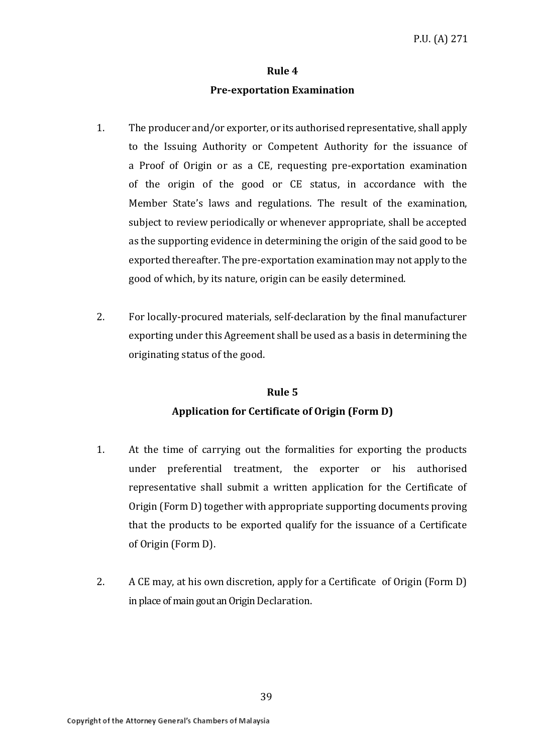### **Rule 4 Pre-exportation Examination**

- 1. The producer and/or exporter, or its authorised representative, shall apply to the Issuing Authority or Competent Authority for the issuance of a Proof of Origin or as a CE, requesting pre-exportation examination of the origin of the good or CE status, in accordance with the Member State's laws and regulations. The result of the examination, subject to review periodically or whenever appropriate, shall be accepted as the supporting evidence in determining the origin of the said good to be exported thereafter. The pre-exportation examination may not apply to the good of which, by its nature, origin can be easily determined.
- 2. For locally-procured materials, self-declaration by the final manufacturer exporting under this Agreement shall be used as a basis in determining the originating status of the good.

### **Rule 5 Application for Certificate of Origin (Form D)**

- 1. At the time of carrying out the formalities for exporting the products under preferential treatment, the exporter or his authorised representative shall submit a written application for the Certificate of Origin (Form D) together with appropriate supporting documents proving that the products to be exported qualify for the issuance of a Certificate of Origin (Form D).
- 2. A CE may, at his own discretion, apply for a Certificate of Origin (Form D) in place of main gout an Origin Declaration.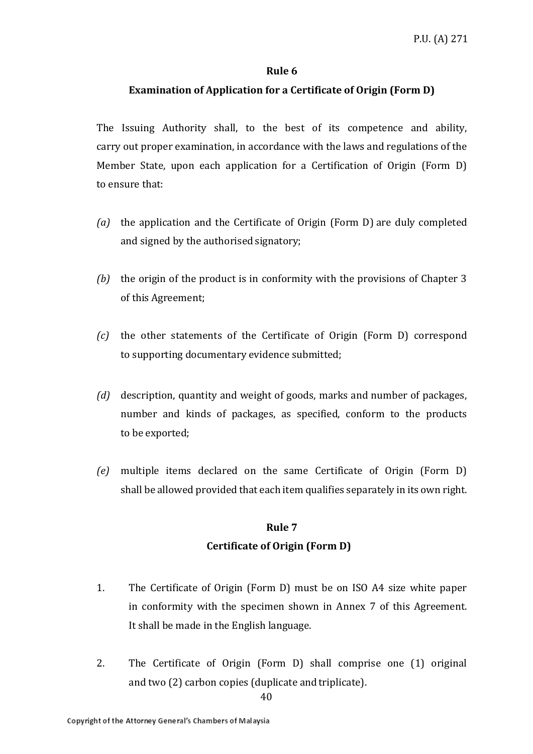### **Rule 6**

### **Examination of Application for a Certificate of Origin (Form D)**

The Issuing Authority shall, to the best of its competence and ability, carry out proper examination, in accordance with the laws and regulations of the Member State, upon each application for a Certification of Origin (Form D) to ensure that:

- *(a)* the application and the Certificate of Origin (Form D) are duly completed and signed by the authorised signatory;
- *(b)* the origin of the product is in conformity with the provisions of Chapter 3 of this Agreement;
- *(c)* the other statements of the Certificate of Origin (Form D) correspond to supporting documentary evidence submitted;
- *(d)* description, quantity and weight of goods, marks and number of packages, number and kinds of packages, as specified, conform to the products to be exported;
- *(e)* multiple items declared on the same Certificate of Origin (Form D) shall be allowed provided that each item qualifies separately in its own right.

# **Rule 7 Certificate of Origin (Form D)**

- 1. The Certificate of Origin (Form D) must be on ISO A4 size white paper in conformity with the specimen shown in Annex 7 of this Agreement. It shall be made in the English language.
- 2. The Certificate of Origin (Form D) shall comprise one (1) original and two (2) carbon copies (duplicate and triplicate).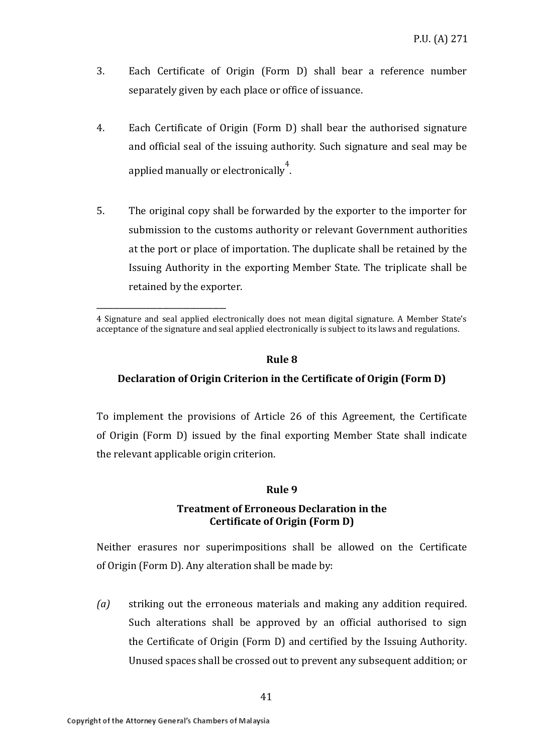- 3. Each Certificate of Origin (Form D) shall bear a reference number separately given by each place or office of issuance.
- 4. Each Certificate of Origin (Form D) shall bear the authorised signature and official seal of the issuing authority. Such signature and seal may be applied manually or electronically<sup>4</sup>.
- 5. The original copy shall be forwarded by the exporter to the importer for submission to the customs authority or relevant Government authorities at the port or place of importation. The duplicate shall be retained by the Issuing Authority in the exporting Member State. The triplicate shall be retained by the exporter.

#### **Rule 8**

### **Declaration of Origin Criterion in the Certificate of Origin (Form D)**

To implement the provisions of Article 26 of this Agreement, the Certificate of Origin (Form D) issued by the final exporting Member State shall indicate the relevant applicable origin criterion.

#### **Rule 9**

### **Treatment of Erroneous Declaration in the Certificate of Origin (Form D)**

Neither erasures nor superimpositions shall be allowed on the Certificate of Origin (Form D). Any alteration shall be made by:

*(a)* striking out the erroneous materials and making any addition required. Such alterations shall be approved by an official authorised to sign the Certificate of Origin (Form D) and certified by the Issuing Authority. Unused spaces shall be crossed out to prevent any subsequent addition; or

**\_\_\_\_\_\_\_\_\_\_\_\_\_\_\_\_\_\_\_\_\_\_\_\_\_\_\_\_\_\_\_\_\_\_\_\_\_\_\_**

<sup>4</sup> Signature and seal applied electronically does not mean digital signature. A Member State's acceptance of the signature and seal applied electronically is subject to its laws and regulations.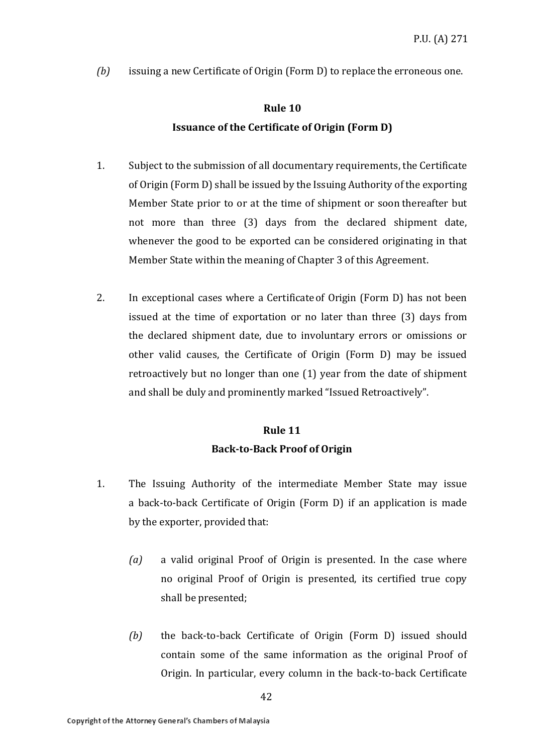*(b)* issuing a new Certificate of Origin (Form D) to replace the erroneous one.

# **Rule 10 Issuance of the Certificate of Origin (Form D)**

- 1. Subject to the submission of all documentary requirements, the Certificate of Origin (Form D) shall be issued by the Issuing Authority of the exporting Member State prior to or at the time of shipment or soon thereafter but not more than three (3) days from the declared shipment date, whenever the good to be exported can be considered originating in that Member State within the meaning of Chapter 3 of this Agreement.
- 2. In exceptional cases where a Certificateof Origin (Form D) has not been issued at the time of exportation or no later than three (3) days from the declared shipment date, due to involuntary errors or omissions or other valid causes, the Certificate of Origin (Form D) may be issued retroactively but no longer than one (1) year from the date of shipment and shall be duly and prominently marked "Issued Retroactively".

### **Rule 11 Back-to-Back Proof of Origin**

- 1. The Issuing Authority of the intermediate Member State may issue a back-to-back Certificate of Origin (Form D) if an application is made by the exporter, provided that:
	- *(a)* a valid original Proof of Origin is presented. In the case where no original Proof of Origin is presented, its certified true copy shall be presented;
	- *(b)* the back-to-back Certificate of Origin (Form D) issued should contain some of the same information as the original Proof of Origin. In particular, every column in the back-to-back Certificate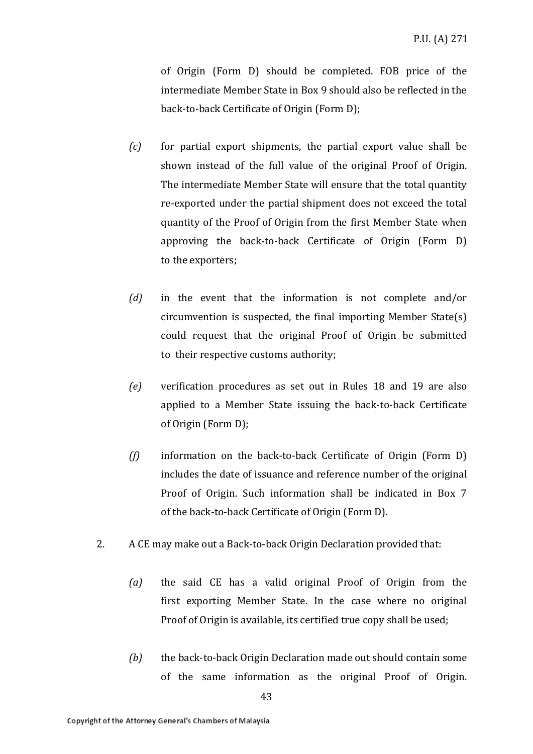of Origin (Form D) should be completed. FOB price of the intermediate Member State in Box 9 should also be reflected in the back-to-back Certificate of Origin (Form D);

- *(c)* for partial export shipments, the partial export value shall be shown instead of the full value of the original Proof of Origin. The intermediate Member State will ensure that the total quantity re-exported under the partial shipment does not exceed the total quantity of the Proof of Origin from the first Member State when approving the back-to-back Certificate of Origin (Form D) to the exporters;
- *(d)* in the event that the information is not complete and/or circumvention is suspected, the final importing Member State(s) could request that the original Proof of Origin be submitted to their respective customs authority;
- *(e)* verification procedures as set out in Rules 18 and 19 are also applied to a Member State issuing the back-to-back Certificate of Origin (Form D);
- *(f)* information on the back-to-back Certificate of Origin (Form D) includes the date of issuance and reference number of the original Proof of Origin. Such information shall be indicated in Box 7 of the back-to-back Certificate of Origin (Form D).
- 2. A CE may make out a Back-to-back Origin Declaration provided that:
	- *(a)* the said CE has a valid original Proof of Origin from the first exporting Member State. In the case where no original Proof of Origin is available, its certified true copy shall be used;
	- *(b)* the back-to-back Origin Declaration made out should contain some of the same information as the original Proof of Origin.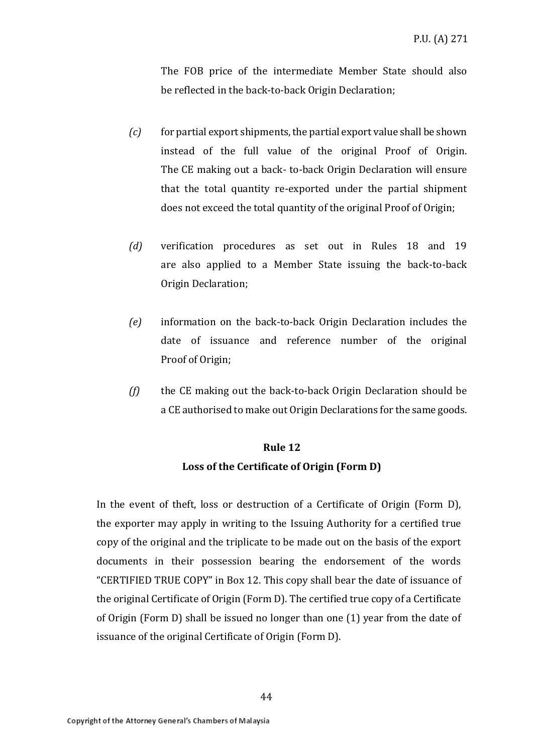The FOB price of the intermediate Member State should also be reflected in the back-to-back Origin Declaration;

- *(c)* for partial export shipments, the partial export value shall be shown instead of the full value of the original Proof of Origin. The CE making out a back- to-back Origin Declaration will ensure that the total quantity re-exported under the partial shipment does not exceed the total quantity of the original Proof of Origin;
- *(d)* verification procedures as set out in Rules 18 and 19 are also applied to a Member State issuing the back-to-back Origin Declaration;
- *(e)* information on the back-to-back Origin Declaration includes the date of issuance and reference number of the original Proof of Origin;
- *(f)* the CE making out the back-to-back Origin Declaration should be a CE authorised to make out Origin Declarations for the same goods.

# **Rule 12 Loss of the Certificate of Origin (Form D)**

In the event of theft, loss or destruction of a Certificate of Origin (Form D), the exporter may apply in writing to the Issuing Authority for a certified true copy of the original and the triplicate to be made out on the basis of the export documents in their possession bearing the endorsement of the words "CERTIFIED TRUE COPY" in Box 12. This copy shall bear the date of issuance of the original Certificate of Origin (Form D). The certified true copy of a Certificate of Origin (Form D) shall be issued no longer than one (1) year from the date of issuance of the original Certificate of Origin (Form D).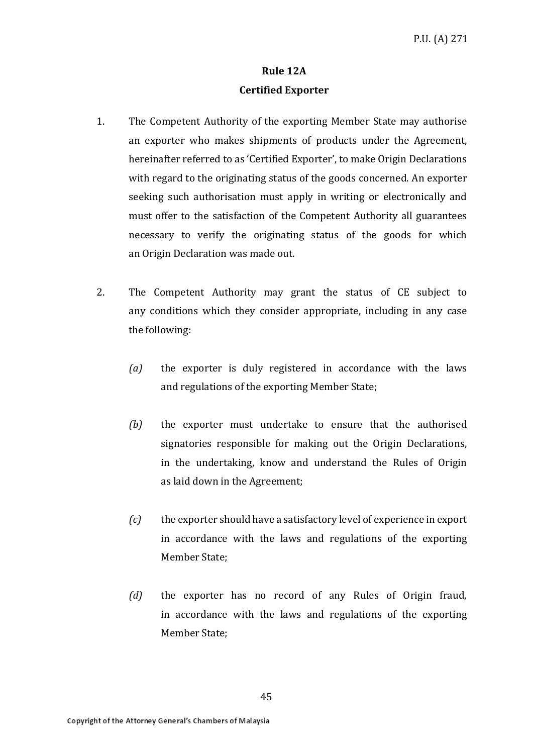### **Rule 12A Certified Exporter**

- 1. The Competent Authority of the exporting Member State may authorise an exporter who makes shipments of products under the Agreement, hereinafter referred to as 'Certified Exporter', to make Origin Declarations with regard to the originating status of the goods concerned. An exporter seeking such authorisation must apply in writing or electronically and must offer to the satisfaction of the Competent Authority all guarantees necessary to verify the originating status of the goods for which an Origin Declaration was made out.
- 2. The Competent Authority may grant the status of CE subject to any conditions which they consider appropriate, including in any case the following:
	- *(a)* the exporter is duly registered in accordance with the laws and regulations of the exporting Member State;
	- *(b)* the exporter must undertake to ensure that the authorised signatories responsible for making out the Origin Declarations, in the undertaking, know and understand the Rules of Origin as laid down in the Agreement;
	- *(c)* the exporter should have a satisfactory level of experience in export in accordance with the laws and regulations of the exporting Member State;
	- *(d)* the exporter has no record of any Rules of Origin fraud, in accordance with the laws and regulations of the exporting Member State;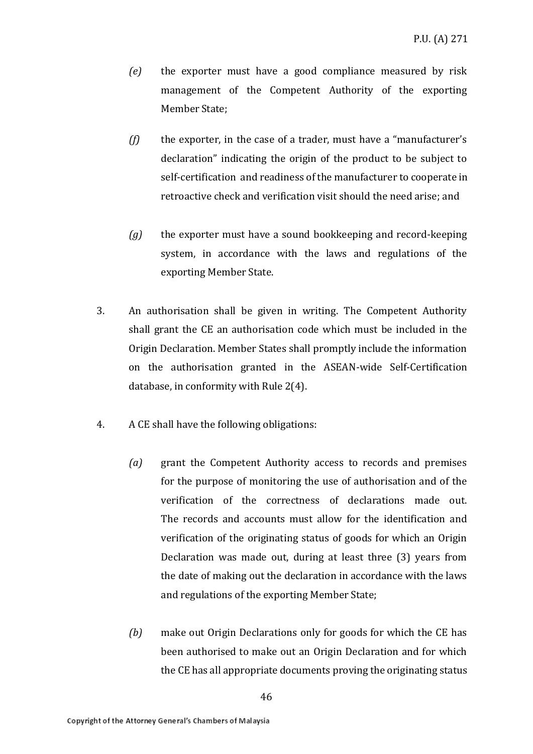- *(e)* the exporter must have a good compliance measured by risk management of the Competent Authority of the exporting Member State:
- *(f)* the exporter, in the case of a trader, must have a "manufacturer's declaration" indicating the origin of the product to be subject to self-certification and readiness of the manufacturer to cooperate in retroactive check and verification visit should the need arise; and
- *(g)* the exporter must have a sound bookkeeping and record-keeping system, in accordance with the laws and regulations of the exporting Member State.
- 3. An authorisation shall be given in writing. The Competent Authority shall grant the CE an authorisation code which must be included in the Origin Declaration. Member States shall promptly include the information on the authorisation granted in the ASEAN-wide Self-Certification database, in conformity with Rule 2(4).
- 4. A CE shall have the following obligations:
	- *(a)* grant the Competent Authority access to records and premises for the purpose of monitoring the use of authorisation and of the verification of the correctness of declarations made out. The records and accounts must allow for the identification and verification of the originating status of goods for which an Origin Declaration was made out, during at least three (3) years from the date of making out the declaration in accordance with the laws and regulations of the exporting Member State;
	- *(b)* make out Origin Declarations only for goods for which the CE has been authorised to make out an Origin Declaration and for which the CE has all appropriate documents proving the originating status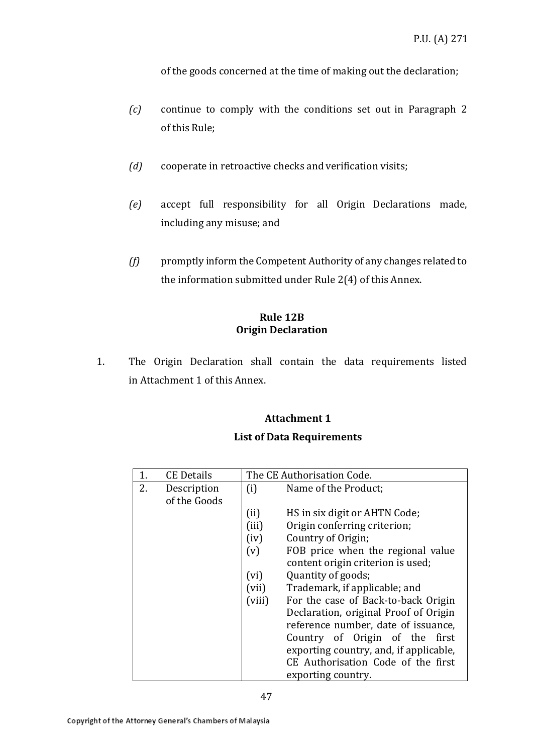of the goods concerned at the time of making out the declaration;

- *(c)* continue to comply with the conditions set out in Paragraph 2 of this Rule;
- *(d)* cooperate in retroactive checks and verification visits;
- *(e)* accept full responsibility for all Origin Declarations made, including any misuse; and
- *(f)* promptly inform the Competent Authority of any changes related to the information submitted under Rule 2(4) of this Annex.

### **Rule 12B Origin Declaration**

1. The Origin Declaration shall contain the data requirements listed in Attachment 1 of this Annex.

#### **Attachment 1**

### **List of Data Requirements**

|    | <b>CE Details</b> | The CE Authorisation Code. |                                        |
|----|-------------------|----------------------------|----------------------------------------|
| 2. | Description       | (i)                        | Name of the Product;                   |
|    | of the Goods      |                            |                                        |
|    |                   | (ii)                       | HS in six digit or AHTN Code;          |
|    |                   | (iii)                      | Origin conferring criterion;           |
|    |                   | (iv)                       | Country of Origin;                     |
|    |                   | (v)                        | FOB price when the regional value      |
|    |                   |                            | content origin criterion is used;      |
|    |                   | (vi)                       | Quantity of goods;                     |
|    |                   | (vii)                      | Trademark, if applicable; and          |
|    |                   | (viii)                     | For the case of Back-to-back Origin    |
|    |                   |                            | Declaration, original Proof of Origin  |
|    |                   |                            | reference number, date of issuance,    |
|    |                   |                            | Country of Origin of the first         |
|    |                   |                            | exporting country, and, if applicable, |
|    |                   |                            | CE Authorisation Code of the first     |
|    |                   |                            | exporting country.                     |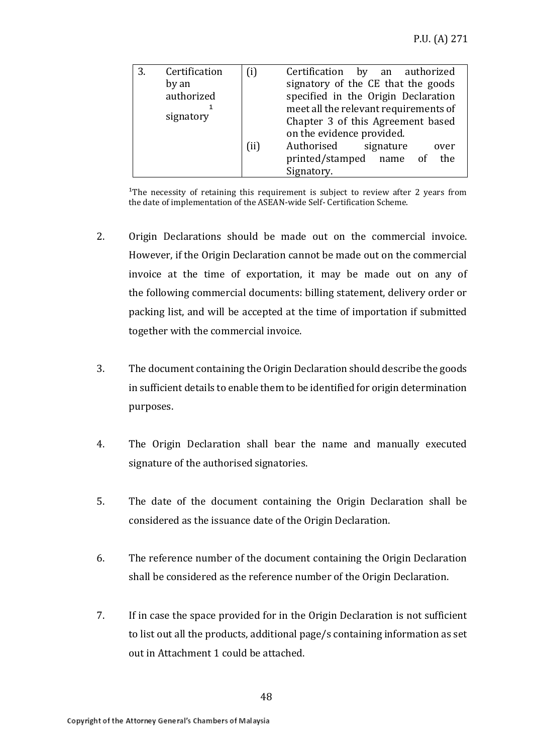| 3. | Certification | $\left( i\right)$ | Certification<br>by an authorized     |
|----|---------------|-------------------|---------------------------------------|
|    | by an         |                   | signatory of the CE that the goods    |
|    | authorized    |                   | specified in the Origin Declaration   |
|    | signatory     |                   | meet all the relevant requirements of |
|    |               |                   | Chapter 3 of this Agreement based     |
|    |               |                   | on the evidence provided.             |
|    |               | (ii)              | Authorised<br>signature<br>over       |
|    |               |                   | printed/stamped name of<br>the        |
|    |               |                   | Signatory.                            |

<sup>1</sup>The necessity of retaining this requirement is subject to review after 2 years from the date of implementation of the ASEAN-wide Self- Certification Scheme.

- 2. Origin Declarations should be made out on the commercial invoice. However, if the Origin Declaration cannot be made out on the commercial invoice at the time of exportation, it may be made out on any of the following commercial documents: billing statement, delivery order or packing list, and will be accepted at the time of importation if submitted together with the commercial invoice.
- 3. The document containing the Origin Declaration should describe the goods in sufficient details to enable them to be identified for origin determination purposes.
- 4. The Origin Declaration shall bear the name and manually executed signature of the authorised signatories.
- 5. The date of the document containing the Origin Declaration shall be considered as the issuance date of the Origin Declaration.
- 6. The reference number of the document containing the Origin Declaration shall be considered as the reference number of the Origin Declaration.
- 7. If in case the space provided for in the Origin Declaration is not sufficient to list out all the products, additional page/s containing information as set out in Attachment 1 could be attached.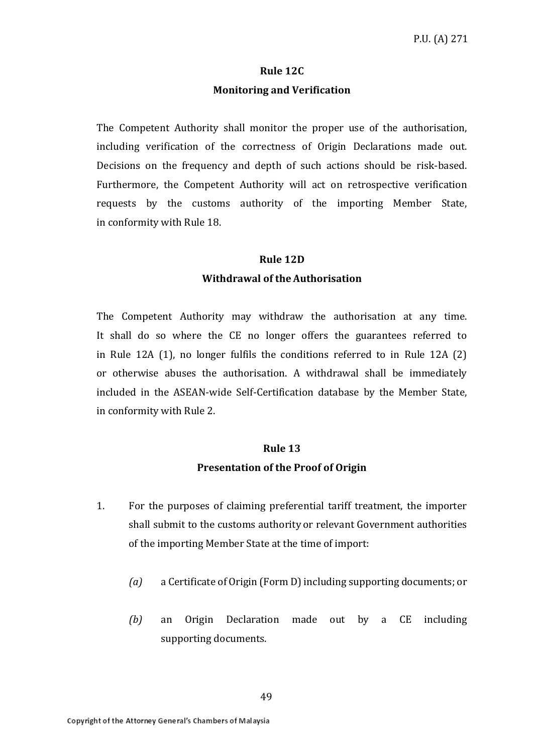### **Rule 12C Monitoring and Verification**

The Competent Authority shall monitor the proper use of the authorisation, including verification of the correctness of Origin Declarations made out. Decisions on the frequency and depth of such actions should be risk-based. Furthermore, the Competent Authority will act on retrospective verification requests by the customs authority of the importing Member State, in conformity with Rule 18.

#### **Rule 12D**

#### **Withdrawal of theAuthorisation**

The Competent Authority may withdraw the authorisation at any time. It shall do so where the CE no longer offers the guarantees referred to in Rule 12A (1), no longer fulfils the conditions referred to in Rule 12A (2) or otherwise abuses the authorisation. A withdrawal shall be immediately included in the ASEAN-wide Self-Certification database by the Member State, in conformity with Rule 2.

#### **Rule 13**

#### **Presentation of the Proof of Origin**

- 1. For the purposes of claiming preferential tariff treatment, the importer shall submit to the customs authority or relevant Government authorities of the importing Member State at the time of import:
	- *(a)* a Certificate of Origin (Form D) including supporting documents; or
	- *(b)* an Origin Declaration made out by a CE including supporting documents.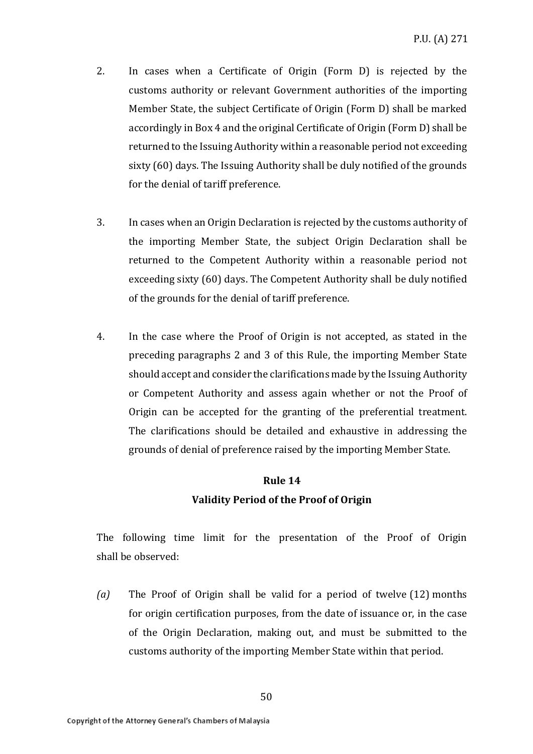- 2. In cases when a Certificate of Origin (Form D) is rejected by the customs authority or relevant Government authorities of the importing Member State, the subject Certificate of Origin (Form D) shall be marked accordingly in Box 4 and the original Certificate of Origin (Form D) shall be returned to the Issuing Authority within a reasonable period not exceeding sixty (60) days. The Issuing Authority shall be duly notified of the grounds for the denial of tariff preference.
- 3. In cases when an Origin Declaration is rejected by the customs authority of the importing Member State, the subject Origin Declaration shall be returned to the Competent Authority within a reasonable period not exceeding sixty (60) days. The Competent Authority shall be duly notified of the grounds for the denial of tariff preference.
- 4. In the case where the Proof of Origin is not accepted, as stated in the preceding paragraphs 2 and 3 of this Rule, the importing Member State should accept and consider the clarifications made by the Issuing Authority or Competent Authority and assess again whether or not the Proof of Origin can be accepted for the granting of the preferential treatment. The clarifications should be detailed and exhaustive in addressing the grounds of denial of preference raised by the importing Member State.

## **Rule 14 Validity Period of the Proof of Origin**

The following time limit for the presentation of the Proof of Origin shall be observed:

*(a)* The Proof of Origin shall be valid for a period of twelve (12) months for origin certification purposes, from the date of issuance or, in the case of the Origin Declaration, making out, and must be submitted to the customs authority of the importing Member State within that period.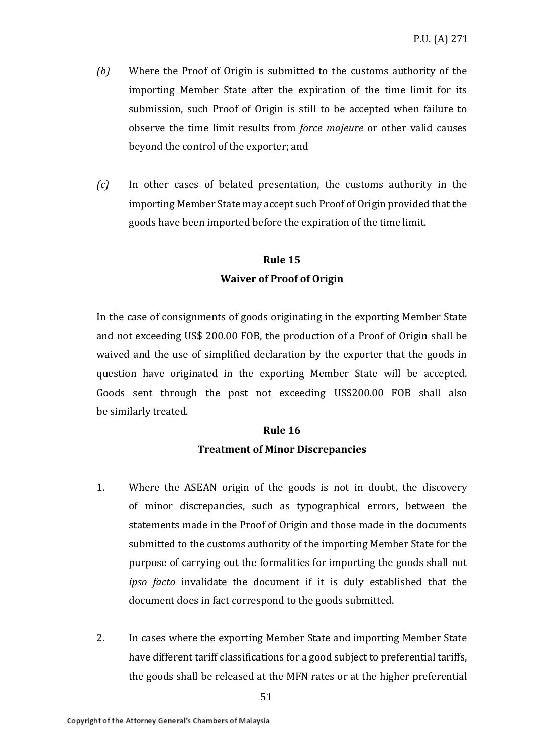- *(b)* Where the Proof of Origin is submitted to the customs authority of the importing Member State after the expiration of the time limit for its submission, such Proof of Origin is still to be accepted when failure to observe the time limit results from *force majeure* or other valid causes beyond the control of the exporter; and
- *(c)* In other cases of belated presentation, the customs authority in the importing Member State may accept such Proof of Origin provided that the goods have been imported before the expiration of the time limit.

# **Rule 15 Waiver of Proof of Origin**

In the case of consignments of goods originating in the exporting Member State and not exceeding US\$ 200.00 FOB, the production of a Proof of Origin shall be waived and the use of simplified declaration by the exporter that the goods in question have originated in the exporting Member State will be accepted. Goods sent through the post not exceeding US\$200.00 FOB shall also be similarly treated.

#### **Rule 16**

### **Treatment of Minor Discrepancies**

- 1. Where the ASEAN origin of the goods is not in doubt, the discovery of minor discrepancies, such as typographical errors, between the statements made in the Proof of Origin and those made in the documents submitted to the customs authority of the importing Member State for the purpose of carrying out the formalities for importing the goods shall not *ipso facto* invalidate the document if it is duly established that the document does in fact correspond to the goods submitted.
- 2. In cases where the exporting Member State and importing Member State have different tariff classifications for a good subject to preferential tariffs, the goods shall be released at the MFN rates or at the higher preferential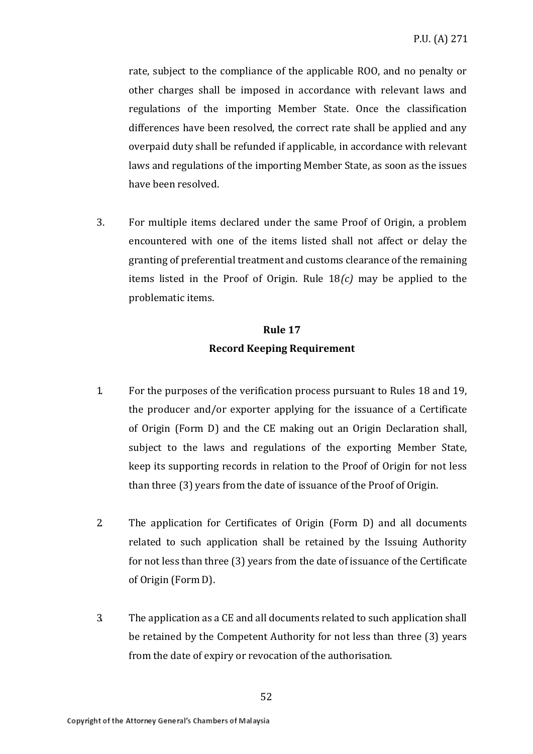rate, subject to the compliance of the applicable ROO, and no penalty or other charges shall be imposed in accordance with relevant laws and regulations of the importing Member State. Once the classification differences have been resolved, the correct rate shall be applied and any overpaid duty shall be refunded if applicable, in accordance with relevant laws and regulations of the importing Member State, as soon as the issues have been resolved.

3. For multiple items declared under the same Proof of Origin, a problem encountered with one of the items listed shall not affect or delay the granting of preferential treatment and customs clearance of the remaining items listed in the Proof of Origin. Rule 18*(c)* may be applied to the problematic items.

# **Rule 17 Record Keeping Requirement**

- 1. For the purposes of the verification process pursuant to Rules 18 and 19, the producer and/or exporter applying for the issuance of a Certificate of Origin (Form D) and the CE making out an Origin Declaration shall, subject to the laws and regulations of the exporting Member State, keep its supporting records in relation to the Proof of Origin for not less than three (3) years from the date of issuance of the Proof of Origin.
- 2. The application for Certificates of Origin (Form D) and all documents related to such application shall be retained by the Issuing Authority for not less than three (3) years from the date of issuance of the Certificate of Origin (Form D).
- 3. The application as a CE and all documents related to such application shall be retained by the Competent Authority for not less than three (3) years from the date of expiry or revocation of the authorisation.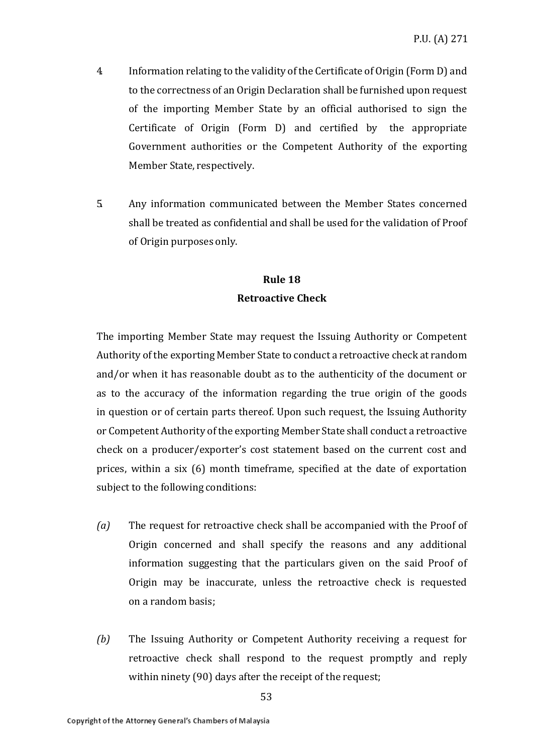- 4. Information relating to the validity of the Certificate of Origin (Form D) and to the correctness of an Origin Declaration shall be furnished upon request of the importing Member State by an official authorised to sign the Certificate of Origin (Form D) and certified by the appropriate Government authorities or the Competent Authority of the exporting Member State, respectively.
- 5. Any information communicated between the Member States concerned shall be treated as confidential and shall be used for the validation of Proof of Origin purposes only.

### **Rule 18 Retroactive Check**

The importing Member State may request the Issuing Authority or Competent Authority of the exporting Member State to conduct a retroactive check at random and/or when it has reasonable doubt as to the authenticity of the document or as to the accuracy of the information regarding the true origin of the goods in question or of certain parts thereof. Upon such request, the Issuing Authority or Competent Authority of the exporting Member State shall conduct a retroactive check on a producer/exporter's cost statement based on the current cost and prices, within a six (6) month timeframe, specified at the date of exportation subject to the following conditions:

- *(a)* The request for retroactive check shall be accompanied with the Proof of Origin concerned and shall specify the reasons and any additional information suggesting that the particulars given on the said Proof of Origin may be inaccurate, unless the retroactive check is requested on a random basis;
- *(b)* The Issuing Authority or Competent Authority receiving a request for retroactive check shall respond to the request promptly and reply within ninety (90) days after the receipt of the request;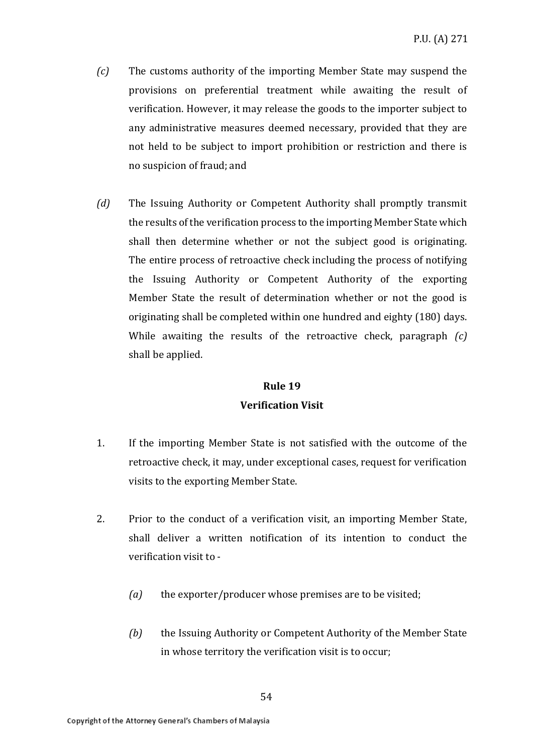- *(c)* The customs authority of the importing Member State may suspend the provisions on preferential treatment while awaiting the result of verification. However, it may release the goods to the importer subject to any administrative measures deemed necessary, provided that they are not held to be subject to import prohibition or restriction and there is no suspicion of fraud; and
- *(d)* The Issuing Authority or Competent Authority shall promptly transmit the results of the verification process to the importing Member State which shall then determine whether or not the subject good is originating. The entire process of retroactive check including the process of notifying the Issuing Authority or Competent Authority of the exporting Member State the result of determination whether or not the good is originating shall be completed within one hundred and eighty (180) days. While awaiting the results of the retroactive check, paragraph *(c)*  shall be applied.

### **Rule 19 Verification Visit**

- 1. If the importing Member State is not satisfied with the outcome of the retroactive check, it may, under exceptional cases, request for verification visits to the exporting Member State.
- 2. Prior to the conduct of a verification visit, an importing Member State, shall deliver a written notification of its intention to conduct the verification visit to -
	- *(a)* the exporter/producer whose premises are to be visited;
	- *(b)* the Issuing Authority or Competent Authority of the Member State in whose territory the verification visit is to occur;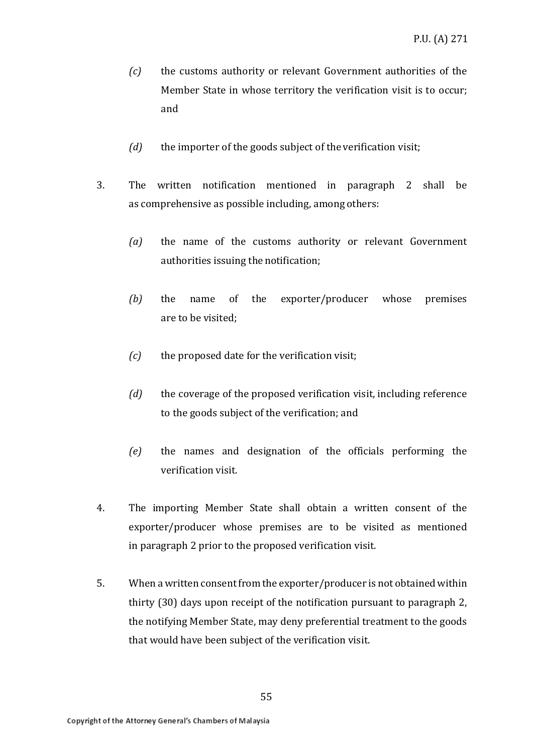- *(c)* the customs authority or relevant Government authorities of the Member State in whose territory the verification visit is to occur; and
- *(d)* the importer of the goods subject of the verification visit;
- 3. The written notification mentioned in paragraph 2 shall be as comprehensive as possible including, among others:
	- *(a)* the name of the customs authority or relevant Government authorities issuing the notification;
	- *(b)* the name of the exporter/producer whose premises are to be visited;
	- *(c)* the proposed date for the verification visit;
	- *(d)* the coverage of the proposed verification visit, including reference to the goods subject of the verification; and
	- *(e)* the names and designation of the officials performing the verification visit.
- 4. The importing Member State shall obtain a written consent of the exporter/producer whose premises are to be visited as mentioned in paragraph 2 prior to the proposed verification visit.
- 5. When a written consent from the exporter/producer is not obtained within thirty (30) days upon receipt of the notification pursuant to paragraph 2, the notifying Member State, may deny preferential treatment to the goods that would have been subject of the verification visit.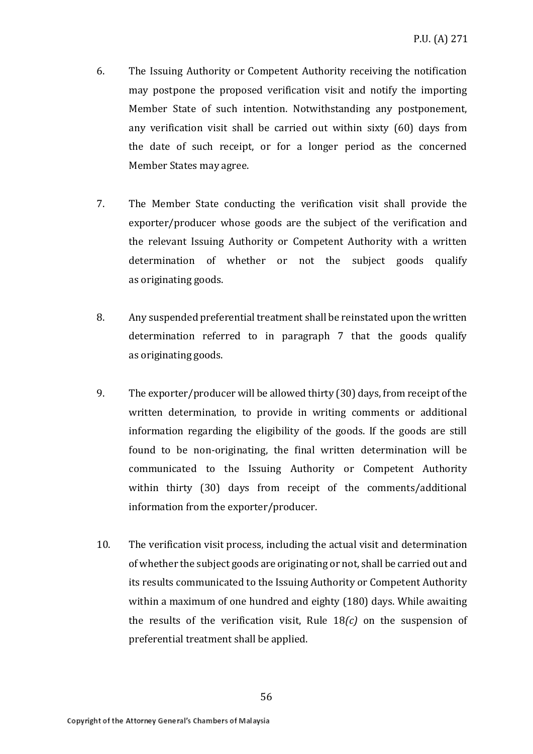- 6. The Issuing Authority or Competent Authority receiving the notification may postpone the proposed verification visit and notify the importing Member State of such intention. Notwithstanding any postponement, any verification visit shall be carried out within sixty (60) days from the date of such receipt, or for a longer period as the concerned Member States may agree.
- 7. The Member State conducting the verification visit shall provide the exporter/producer whose goods are the subject of the verification and the relevant Issuing Authority or Competent Authority with a written determination of whether or not the subject goods qualify as originating goods.
- 8. Any suspended preferential treatment shall be reinstated upon the written determination referred to in paragraph 7 that the goods qualify as originating goods.
- 9. The exporter/producer will be allowed thirty (30) days, from receipt of the written determination, to provide in writing comments or additional information regarding the eligibility of the goods. If the goods are still found to be non-originating, the final written determination will be communicated to the Issuing Authority or Competent Authority within thirty (30) days from receipt of the comments/additional information from the exporter/producer.
- 10. The verification visit process, including the actual visit and determination of whether the subject goods are originating or not, shall be carried out and its results communicated to the Issuing Authority or Competent Authority within a maximum of one hundred and eighty (180) days. While awaiting the results of the verification visit, Rule 18*(c)* on the suspension of preferential treatment shall be applied.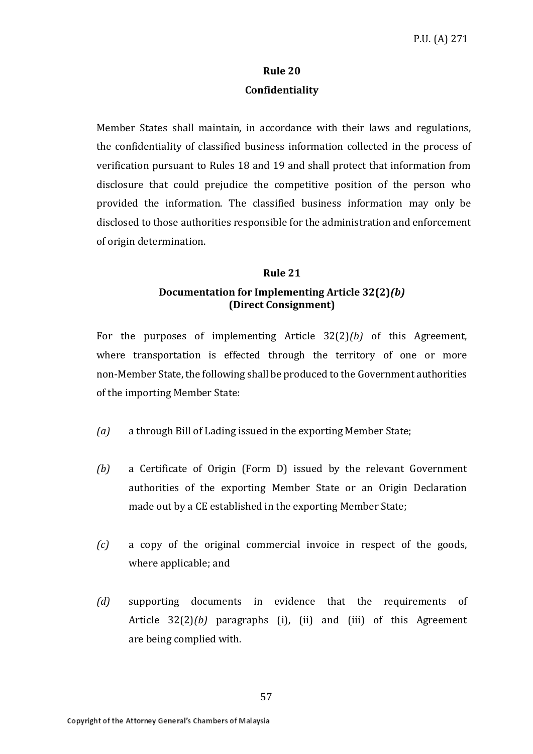### **Rule 20 Confidentiality**

Member States shall maintain, in accordance with their laws and regulations, the confidentiality of classified business information collected in the process of verification pursuant to Rules 18 and 19 and shall protect that information from disclosure that could prejudice the competitive position of the person who provided the information. The classified business information may only be disclosed to those authorities responsible for the administration and enforcement of origin determination.

### **Rule 21**

### **Documentation for Implementing Article 32(2)***(b)*  **(Direct Consignment)**

For the purposes of implementing Article 32(2)*(b)* of this Agreement, where transportation is effected through the territory of one or more non-Member State, the following shall be produced to the Government authorities of the importing Member State:

- *(a)* a through Bill of Lading issued in the exporting Member State;
- *(b)* a Certificate of Origin (Form D) issued by the relevant Government authorities of the exporting Member State or an Origin Declaration made out by a CE established in the exporting Member State;
- *(c)* a copy of the original commercial invoice in respect of the goods, where applicable; and
- *(d)* supporting documents in evidence that the requirements of Article 32(2)*(b)* paragraphs (i), (ii) and (iii) of this Agreement are being complied with.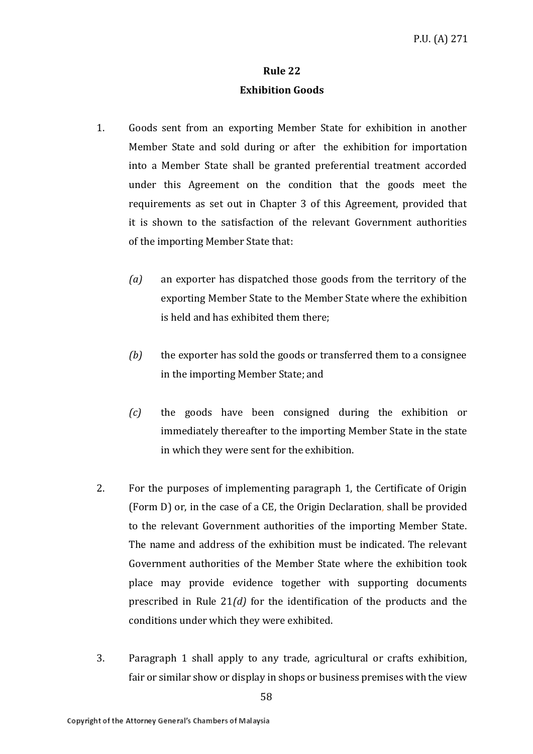### **Rule 22 Exhibition Goods**

- 1. Goods sent from an exporting Member State for exhibition in another Member State and sold during or after the exhibition for importation into a Member State shall be granted preferential treatment accorded under this Agreement on the condition that the goods meet the requirements as set out in Chapter 3 of this Agreement, provided that it is shown to the satisfaction of the relevant Government authorities of the importing Member State that:
	- *(a)* an exporter has dispatched those goods from the territory of the exporting Member State to the Member State where the exhibition is held and has exhibited them there;
	- *(b)* the exporter has sold the goods or transferred them to a consignee in the importing Member State; and
	- *(c)* the goods have been consigned during the exhibition or immediately thereafter to the importing Member State in the state in which they were sent for the exhibition.
- 2. For the purposes of implementing paragraph 1, the Certificate of Origin (Form D) or, in the case of a CE, the Origin Declaration, shall be provided to the relevant Government authorities of the importing Member State. The name and address of the exhibition must be indicated. The relevant Government authorities of the Member State where the exhibition took place may provide evidence together with supporting documents prescribed in Rule 21*(d)* for the identification of the products and the conditions under which they were exhibited.
- 3. Paragraph 1 shall apply to any trade, agricultural or crafts exhibition, fair or similar show or display in shops or business premises with the view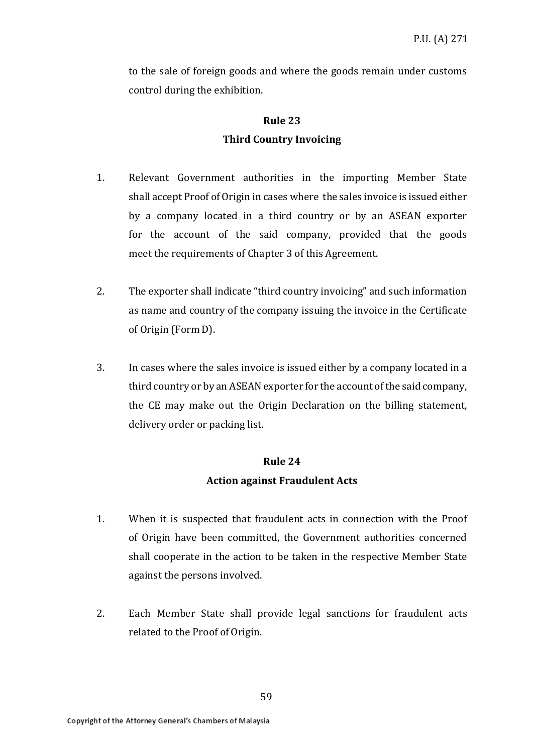to the sale of foreign goods and where the goods remain under customs control during the exhibition.

# **Rule 23 Third Country Invoicing**

- 1. Relevant Government authorities in the importing Member State shall accept Proof of Origin in cases where the sales invoice is issued either by a company located in a third country or by an ASEAN exporter for the account of the said company, provided that the goods meet the requirements of Chapter 3 of this Agreement.
- 2. The exporter shall indicate "third country invoicing" and such information as name and country of the company issuing the invoice in the Certificate of Origin (Form D).
- 3. In cases where the sales invoice is issued either by a company located in a third country or by an ASEAN exporter for the account of the said company, the CE may make out the Origin Declaration on the billing statement, delivery order or packing list.

### **Rule 24**

### **Action against Fraudulent Acts**

- 1. When it is suspected that fraudulent acts in connection with the Proof of Origin have been committed, the Government authorities concerned shall cooperate in the action to be taken in the respective Member State against the persons involved.
- 2. Each Member State shall provide legal sanctions for fraudulent acts related to the Proof of Origin.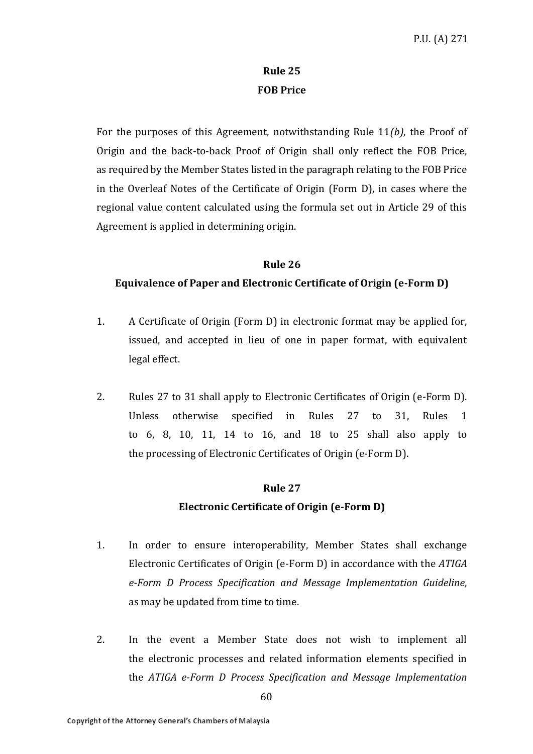### **Rule 25 FOB Price**

For the purposes of this Agreement, notwithstanding Rule 11*(b)*, the Proof of Origin and the back-to-back Proof of Origin shall only reflect the FOB Price, as required by the Member States listed in the paragraph relating to the FOB Price in the Overleaf Notes of the Certificate of Origin (Form D), in cases where the regional value content calculated using the formula set out in Article 29 of this Agreement is applied in determining origin.

### **Rule 26**

### **Equivalence of Paper and Electronic Certificate of Origin (e-Form D)**

- 1. A Certificate of Origin (Form D) in electronic format may be applied for, issued, and accepted in lieu of one in paper format, with equivalent legal effect.
- 2. Rules 27 to 31 shall apply to Electronic Certificates of Origin (e-Form D). Unless otherwise specified in Rules 27 to 31, Rules 1 to 6, 8, 10, 11, 14 to 16, and 18 to 25 shall also apply to the processing of Electronic Certificates of Origin (e-Form D).

### **Rule 27**

### **Electronic Certificate of Origin (e-Form D)**

- 1. In order to ensure interoperability, Member States shall exchange Electronic Certificates of Origin (e-Form D) in accordance with the *ATIGA e-Form D Process Specification and Message Implementation Guideline*, as may be updated from time to time.
- 2. In the event a Member State does not wish to implement all the electronic processes and related information elements specified in the *ATIGA e-Form D Process Specification and Message Implementation*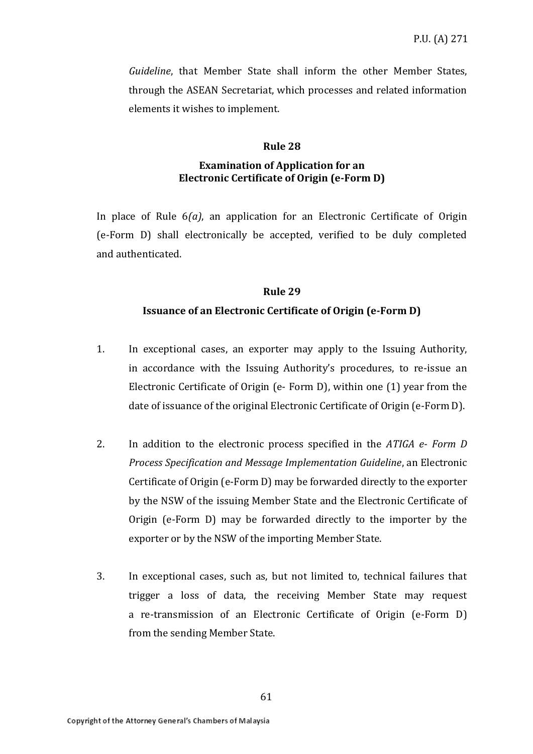*Guideline*, that Member State shall inform the other Member States, through the ASEAN Secretariat, which processes and related information elements it wishes to implement.

#### **Rule 28**

#### **Examination of Application for an Electronic Certificate of Origin (e-Form D)**

In place of Rule 6*(a)*, an application for an Electronic Certificate of Origin (e-Form D) shall electronically be accepted, verified to be duly completed and authenticated.

### **Rule 29**

### **Issuance of an Electronic Certificate of Origin (e-Form D)**

- 1. In exceptional cases, an exporter may apply to the Issuing Authority, in accordance with the Issuing Authority's procedures, to re-issue an Electronic Certificate of Origin (e- Form D), within one (1) year from the date of issuance of the original Electronic Certificate of Origin (e-Form D).
- 2. In addition to the electronic process specified in the *ATIGA e- Form D Process Specification and Message Implementation Guideline*, an Electronic Certificate of Origin (e-Form D) may be forwarded directly to the exporter by the NSW of the issuing Member State and the Electronic Certificate of Origin (e-Form D) may be forwarded directly to the importer by the exporter or by the NSW of the importing Member State.
- 3. In exceptional cases, such as, but not limited to, technical failures that trigger a loss of data, the receiving Member State may request a re-transmission of an Electronic Certificate of Origin (e-Form D) from the sending Member State.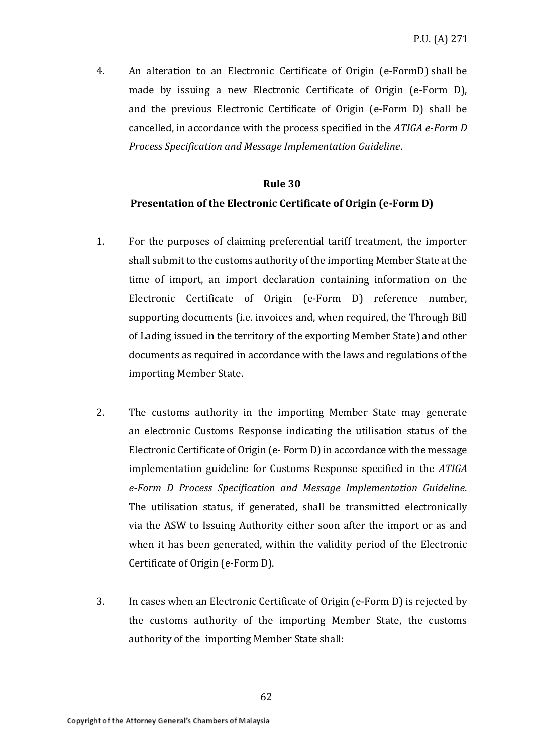4. An alteration to an Electronic Certificate of Origin (e-FormD) shall be made by issuing a new Electronic Certificate of Origin (e-Form D), and the previous Electronic Certificate of Origin (e-Form D) shall be cancelled, in accordance with the process specified in the *ATIGA e-Form D Process Specification and Message Implementation Guideline*.

### **Rule 30**

### **Presentation of the Electronic Certificate of Origin (e-Form D)**

- 1. For the purposes of claiming preferential tariff treatment, the importer shall submit to the customs authority of the importing Member State at the time of import, an import declaration containing information on the Electronic Certificate of Origin (e-Form D) reference number, supporting documents (i.e. invoices and, when required, the Through Bill of Lading issued in the territory of the exporting Member State) and other documents as required in accordance with the laws and regulations of the importing Member State.
- 2. The customs authority in the importing Member State may generate an electronic Customs Response indicating the utilisation status of the Electronic Certificate of Origin (e- Form D) in accordance with the message implementation guideline for Customs Response specified in the *ATIGA e-Form D Process Specification and Message Implementation Guideline*. The utilisation status, if generated, shall be transmitted electronically via the ASW to Issuing Authority either soon after the import or as and when it has been generated, within the validity period of the Electronic Certificate of Origin (e-Form D).
- 3. In cases when an Electronic Certificate of Origin (e-Form D) is rejected by the customs authority of the importing Member State, the customs authority of the importing Member State shall: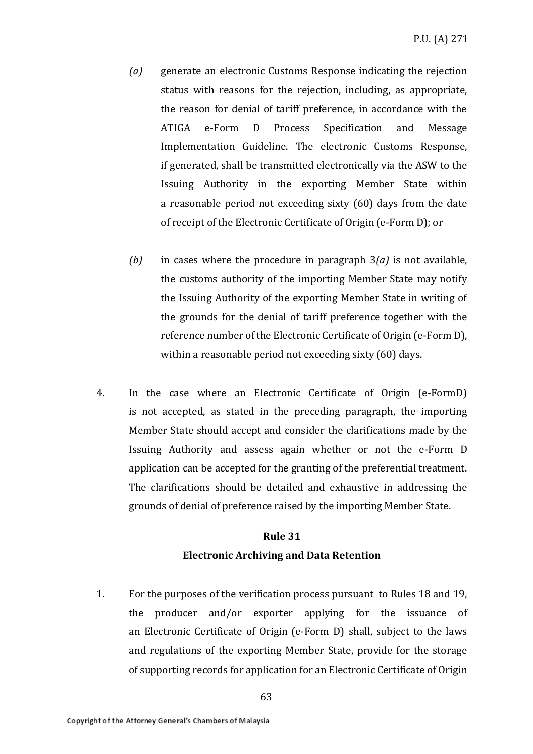- *(a)* generate an electronic Customs Response indicating the rejection status with reasons for the rejection, including, as appropriate, the reason for denial of tariff preference, in accordance with the ATIGA e-Form D Process Specification and Message Implementation Guideline. The electronic Customs Response, if generated, shall be transmitted electronically via the ASW to the Issuing Authority in the exporting Member State within a reasonable period not exceeding sixty (60) days from the date of receipt of the Electronic Certificate of Origin (e-Form D); or
- *(b)* in cases where the procedure in paragraph 3*(a)* is not available, the customs authority of the importing Member State may notify the Issuing Authority of the exporting Member State in writing of the grounds for the denial of tariff preference together with the reference number of the Electronic Certificate of Origin (e-Form D), within a reasonable period not exceeding sixty (60) days.
- 4. In the case where an Electronic Certificate of Origin (e-FormD) is not accepted, as stated in the preceding paragraph, the importing Member State should accept and consider the clarifications made by the Issuing Authority and assess again whether or not the e-Form D application can be accepted for the granting of the preferential treatment. The clarifications should be detailed and exhaustive in addressing the grounds of denial of preference raised by the importing Member State.

# **Rule 31 Electronic Archiving and Data Retention**

1. For the purposes of the verification process pursuant to Rules 18 and 19, the producer and/or exporter applying for the issuance of an Electronic Certificate of Origin (e-Form D) shall, subject to the laws and regulations of the exporting Member State, provide for the storage of supporting records for application for an Electronic Certificate of Origin